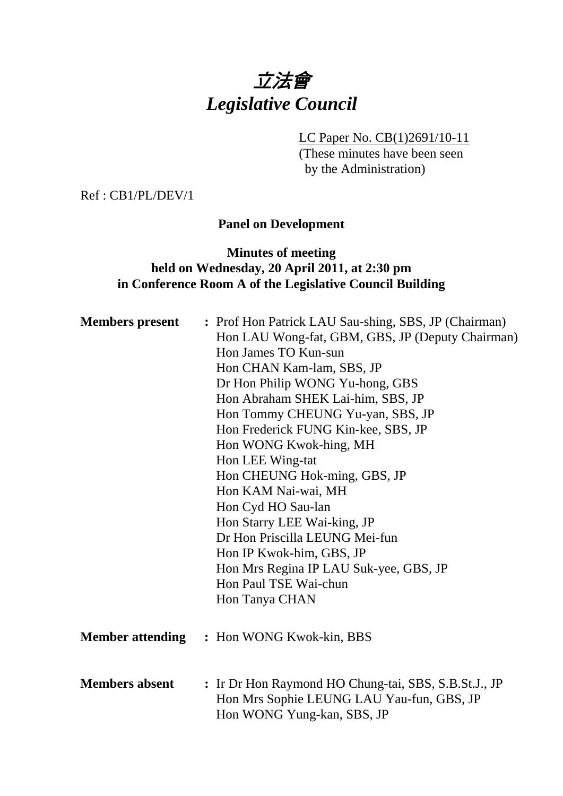# 立法會 *Legislative Council*

LC Paper No. CB(1)2691/10-11

(These minutes have been seen by the Administration)

Ref : CB1/PL/DEV/1

### **Panel on Development**

# **Minutes of meeting held on Wednesday, 20 April 2011, at 2:30 pm in Conference Room A of the Legislative Council Building**

| <b>Members</b> present  | : Prof Hon Patrick LAU Sau-shing, SBS, JP (Chairman)<br>Hon LAU Wong-fat, GBM, GBS, JP (Deputy Chairman)<br>Hon James TO Kun-sun<br>Hon CHAN Kam-lam, SBS, JP<br>Dr Hon Philip WONG Yu-hong, GBS<br>Hon Abraham SHEK Lai-him, SBS, JP<br>Hon Tommy CHEUNG Yu-yan, SBS, JP<br>Hon Frederick FUNG Kin-kee, SBS, JP<br>Hon WONG Kwok-hing, MH<br>Hon LEE Wing-tat<br>Hon CHEUNG Hok-ming, GBS, JP<br>Hon KAM Nai-wai, MH<br>Hon Cyd HO Sau-lan<br>Hon Starry LEE Wai-king, JP<br>Dr Hon Priscilla LEUNG Mei-fun<br>Hon IP Kwok-him, GBS, JP<br>Hon Mrs Regina IP LAU Suk-yee, GBS, JP<br>Hon Paul TSE Wai-chun<br>Hon Tanya CHAN |
|-------------------------|-------------------------------------------------------------------------------------------------------------------------------------------------------------------------------------------------------------------------------------------------------------------------------------------------------------------------------------------------------------------------------------------------------------------------------------------------------------------------------------------------------------------------------------------------------------------------------------------------------------------------------|
| <b>Member attending</b> | : Hon WONG Kwok-kin, BBS                                                                                                                                                                                                                                                                                                                                                                                                                                                                                                                                                                                                      |
| <b>Members absent</b>   | : Ir Dr Hon Raymond HO Chung-tai, SBS, S.B.St.J., JP<br>Hon Mrs Sophie LEUNG LAU Yau-fun, GBS, JP<br>Hon WONG Yung-kan, SBS, JP                                                                                                                                                                                                                                                                                                                                                                                                                                                                                               |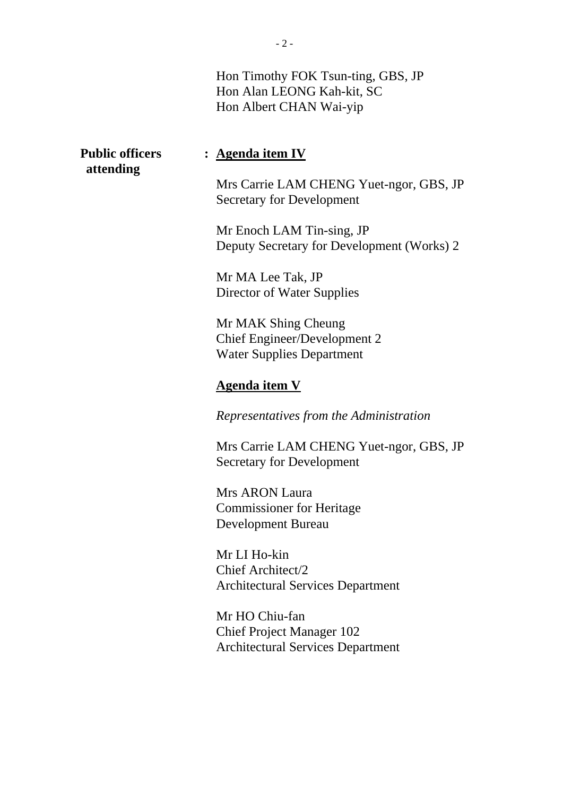Hon Timothy FOK Tsun-ting, GBS, JP Hon Alan LEONG Kah-kit, SC Hon Albert CHAN Wai-yip

# **attending**

## **Public officers : Agenda item IV**

Mrs Carrie LAM CHENG Yuet-ngor, GBS, JP Secretary for Development

Mr Enoch LAM Tin-sing, JP Deputy Secretary for Development (Works) 2

Mr MA Lee Tak, JP Director of Water Supplies

Mr MAK Shing Cheung Chief Engineer/Development 2 Water Supplies Department

# **Agenda item V**

*Representatives from the Administration* 

Mrs Carrie LAM CHENG Yuet-ngor, GBS, JP Secretary for Development

Mrs ARON Laura Commissioner for Heritage Development Bureau

Mr LI Ho-kin Chief Architect/2 Architectural Services Department

Mr HO Chiu-fan Chief Project Manager 102 Architectural Services Department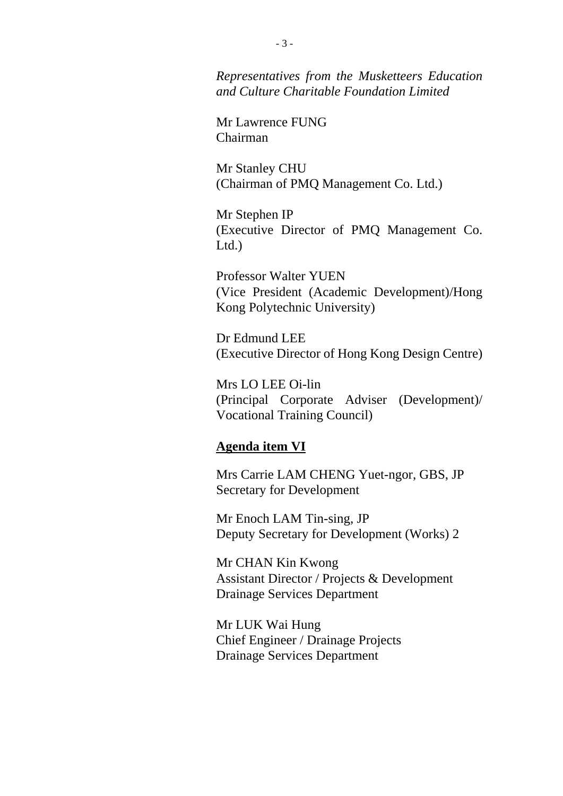*Representatives from the Musketteers Education and Culture Charitable Foundation Limited* 

Mr Lawrence FUNG Chairman

Mr Stanley CHU (Chairman of PMQ Management Co. Ltd.)

Mr Stephen IP (Executive Director of PMQ Management Co. Ltd.)

Professor Walter YUEN (Vice President (Academic Development)/Hong Kong Polytechnic University)

Dr Edmund LEE (Executive Director of Hong Kong Design Centre)

Mrs LO LEE Oi-lin (Principal Corporate Adviser (Development)/ Vocational Training Council)

#### **Agenda item VI**

Mrs Carrie LAM CHENG Yuet-ngor, GBS, JP Secretary for Development

Mr Enoch LAM Tin-sing, JP Deputy Secretary for Development (Works) 2

Mr CHAN Kin Kwong Assistant Director / Projects & Development Drainage Services Department

Mr LUK Wai Hung Chief Engineer / Drainage Projects Drainage Services Department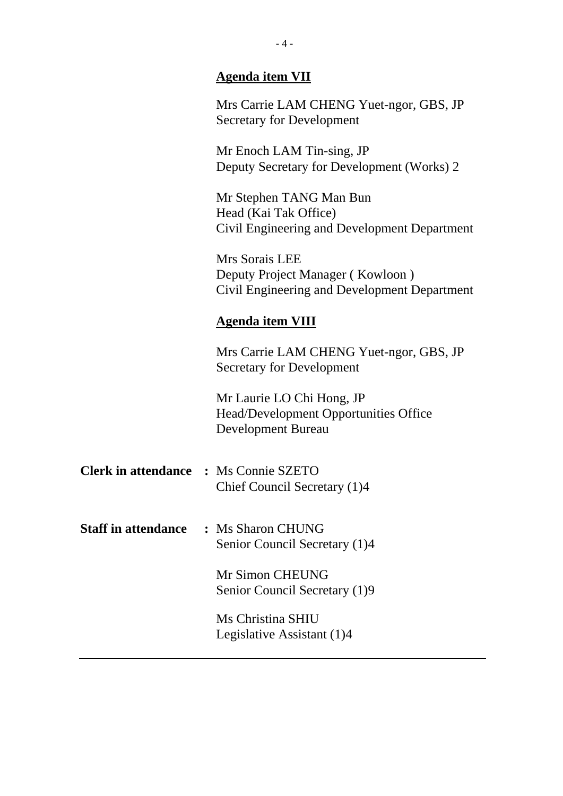# **Agenda item VII**

Mrs Carrie LAM CHENG Yuet-ngor, GBS, JP Secretary for Development

Mr Enoch LAM Tin-sing, JP Deputy Secretary for Development (Works) 2

Mr Stephen TANG Man Bun Head (Kai Tak Office) Civil Engineering and Development Department

Mrs Sorais LEE Deputy Project Manager ( Kowloon ) Civil Engineering and Development Department

#### **Agenda item VIII**

Mrs Carrie LAM CHENG Yuet-ngor, GBS, JP Secretary for Development

Mr Laurie LO Chi Hong, JP Head/Development Opportunities Office Development Bureau

- **Clerk in attendance :** Ms Connie SZETO Chief Council Secretary (1)4
- **Staff in attendance :** Ms Sharon CHUNG Senior Council Secretary (1)4

Mr Simon CHEUNG Senior Council Secretary (1)9

Ms Christina SHIU Legislative Assistant (1)4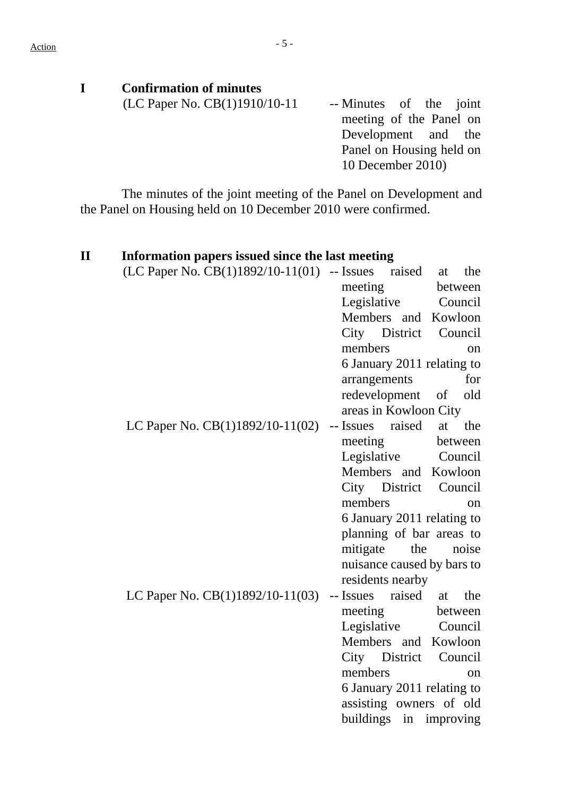| <b>Confirmation of minutes</b> |                          |
|--------------------------------|--------------------------|
| (LC Paper No. CB(1)1910/10-11  | -- Minutes of the joint  |
|                                | meeting of the Panel on  |
|                                | Development and the      |
|                                | Panel on Housing held on |
|                                | 10 December 2010)        |

The minutes of the joint meeting of the Panel on Development and the Panel on Housing held on 10 December 2010 were confirmed.

| Information papers issued since the last meeting |                                  |
|--------------------------------------------------|----------------------------------|
| (LC Paper No. $CB(1)1892/10-11(01)$ -- Issues    | raised<br>the<br>at              |
|                                                  | meeting<br>between               |
|                                                  | Legislative<br>Council           |
|                                                  | Members and Kowloon              |
|                                                  | City District<br>Council         |
|                                                  | members<br>on                    |
|                                                  | 6 January 2011 relating to       |
|                                                  | for<br>arrangements              |
|                                                  | redevelopment<br>old<br>of       |
|                                                  | areas in Kowloon City            |
| LC Paper No. CB(1)1892/10-11(02)                 | -- Issues raised<br>at<br>the    |
|                                                  | meeting<br>between               |
|                                                  | Legislative<br>Council           |
|                                                  | Members and Kowloon              |
|                                                  | City District Council            |
|                                                  | members<br>on                    |
|                                                  | 6 January 2011 relating to       |
|                                                  | planning of bar areas to         |
|                                                  | the<br>mitigate<br>noise         |
|                                                  | nuisance caused by bars to       |
|                                                  | residents nearby                 |
| LC Paper No. CB(1)1892/10-11(03)                 | raised<br>the<br>-- Issues<br>at |
|                                                  | meeting<br>between               |
|                                                  | Legislative<br>Council           |
|                                                  | Members and Kowloon              |
|                                                  | City District<br>Council         |
|                                                  | members<br>on                    |
|                                                  | 6 January 2011 relating to       |
|                                                  | assisting owners of old          |
|                                                  | buildings<br>improving<br>in     |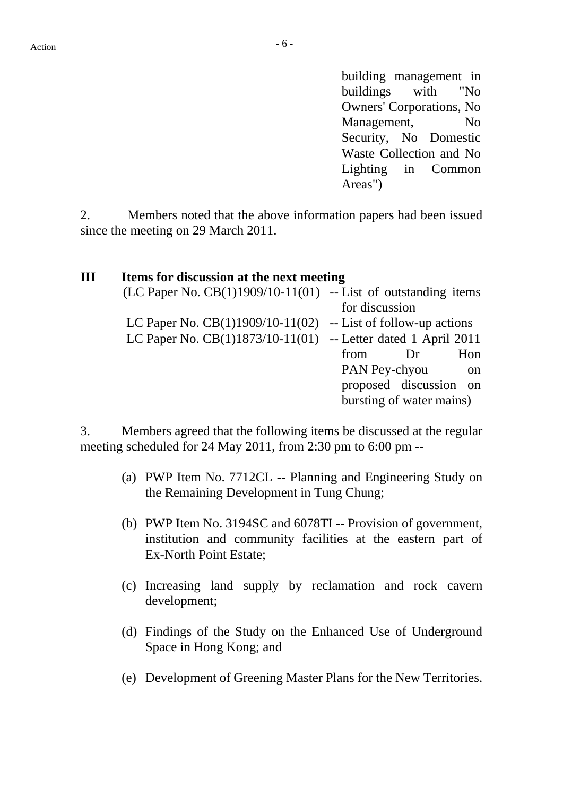building management in buildings with "No Owners' Corporations, No Management, No Security, No Domestic Waste Collection and No Lighting in Common Areas")

2. Members noted that the above information papers had been issued since the meeting on 29 March 2011.

| Ш | Items for discussion at the next meeting                           |                                |
|---|--------------------------------------------------------------------|--------------------------------|
|   | $(LC$ Paper No. $CB(1)1909/10-11(01)$ -- List of outstanding items |                                |
|   |                                                                    | for discussion                 |
|   | LC Paper No. $CB(1)1909/10-11(02)$ -- List of follow-up actions    |                                |
|   | LC Paper No. CB(1)1873/10-11(01) -- Letter dated 1 April 2011      |                                |
|   |                                                                    | Hon<br>from<br>Dr              |
|   |                                                                    | PAN Pey-chyou<br><sub>on</sub> |
|   |                                                                    | proposed discussion on         |
|   |                                                                    | bursting of water mains)       |
|   |                                                                    |                                |

3. Members agreed that the following items be discussed at the regular meeting scheduled for 24 May 2011, from 2:30 pm to 6:00 pm --

- (a) PWP Item No. 7712CL -- Planning and Engineering Study on the Remaining Development in Tung Chung;
- (b) PWP Item No. 3194SC and 6078TI -- Provision of government, institution and community facilities at the eastern part of Ex-North Point Estate;
- (c) Increasing land supply by reclamation and rock cavern development;
- (d) Findings of the Study on the Enhanced Use of Underground Space in Hong Kong; and
- (e) Development of Greening Master Plans for the New Territories.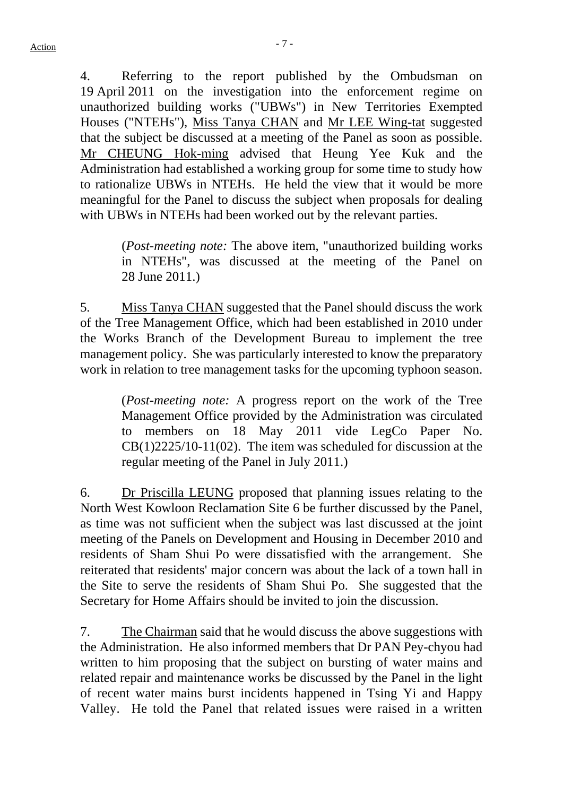4. Referring to the report published by the Ombudsman on 19 April 2011 on the investigation into the enforcement regime on unauthorized building works ("UBWs") in New Territories Exempted Houses ("NTEHs"), Miss Tanya CHAN and Mr LEE Wing-tat suggested that the subject be discussed at a meeting of the Panel as soon as possible. Mr CHEUNG Hok-ming advised that Heung Yee Kuk and the Administration had established a working group for some time to study how to rationalize UBWs in NTEHs. He held the view that it would be more meaningful for the Panel to discuss the subject when proposals for dealing with UBWs in NTEHs had been worked out by the relevant parties.

> (*Post-meeting note:* The above item, "unauthorized building works in NTEHs", was discussed at the meeting of the Panel on 28 June 2011.)

5. Miss Tanya CHAN suggested that the Panel should discuss the work of the Tree Management Office, which had been established in 2010 under the Works Branch of the Development Bureau to implement the tree management policy. She was particularly interested to know the preparatory work in relation to tree management tasks for the upcoming typhoon season.

> (*Post-meeting note:* A progress report on the work of the Tree Management Office provided by the Administration was circulated to members on 18 May 2011 vide LegCo Paper No. CB(1)2225/10-11(02). The item was scheduled for discussion at the regular meeting of the Panel in July 2011.)

6. Dr Priscilla LEUNG proposed that planning issues relating to the North West Kowloon Reclamation Site 6 be further discussed by the Panel, as time was not sufficient when the subject was last discussed at the joint meeting of the Panels on Development and Housing in December 2010 and residents of Sham Shui Po were dissatisfied with the arrangement. She reiterated that residents' major concern was about the lack of a town hall in the Site to serve the residents of Sham Shui Po. She suggested that the Secretary for Home Affairs should be invited to join the discussion.

7. The Chairman said that he would discuss the above suggestions with the Administration. He also informed members that Dr PAN Pey-chyou had written to him proposing that the subject on bursting of water mains and related repair and maintenance works be discussed by the Panel in the light of recent water mains burst incidents happened in Tsing Yi and Happy Valley. He told the Panel that related issues were raised in a written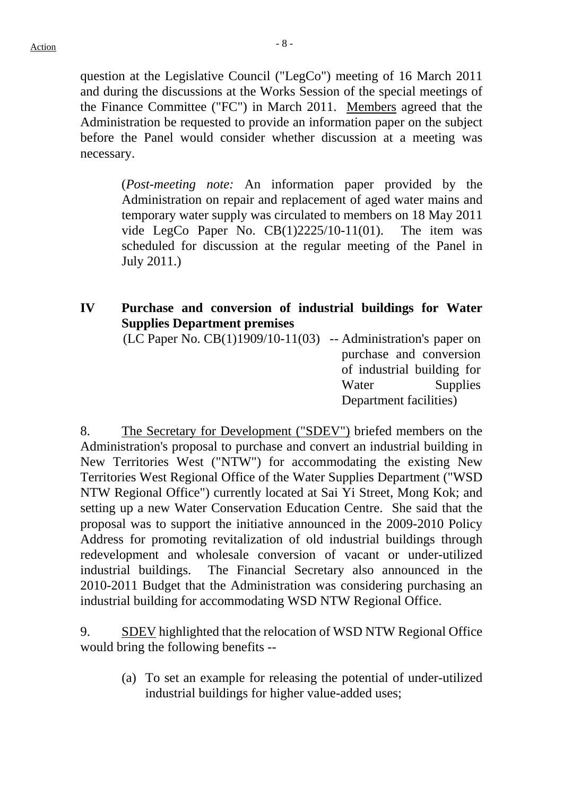question at the Legislative Council ("LegCo") meeting of 16 March 2011 and during the discussions at the Works Session of the special meetings of the Finance Committee ("FC") in March 2011. Members agreed that the Administration be requested to provide an information paper on the subject before the Panel would consider whether discussion at a meeting was necessary.

> (*Post-meeting note:* An information paper provided by the Administration on repair and replacement of aged water mains and temporary water supply was circulated to members on 18 May 2011 vide LegCo Paper No.  $CB(1)2225/10-11(01)$ . The item was scheduled for discussion at the regular meeting of the Panel in July 2011.)

# **IV Purchase and conversion of industrial buildings for Water Supplies Department premises**

 $(LC$  Paper No.  $CB(1)1909/10-11(03)$  -- Administration's paper on purchase and conversion of industrial building for Water Supplies Department facilities)

8. The Secretary for Development ("SDEV") briefed members on the Administration's proposal to purchase and convert an industrial building in New Territories West ("NTW") for accommodating the existing New Territories West Regional Office of the Water Supplies Department ("WSD NTW Regional Office") currently located at Sai Yi Street, Mong Kok; and setting up a new Water Conservation Education Centre. She said that the proposal was to support the initiative announced in the 2009-2010 Policy Address for promoting revitalization of old industrial buildings through redevelopment and wholesale conversion of vacant or under-utilized industrial buildings. The Financial Secretary also announced in the 2010-2011 Budget that the Administration was considering purchasing an industrial building for accommodating WSD NTW Regional Office.

9. SDEV highlighted that the relocation of WSD NTW Regional Office would bring the following benefits --

> (a) To set an example for releasing the potential of under-utilized industrial buildings for higher value-added uses;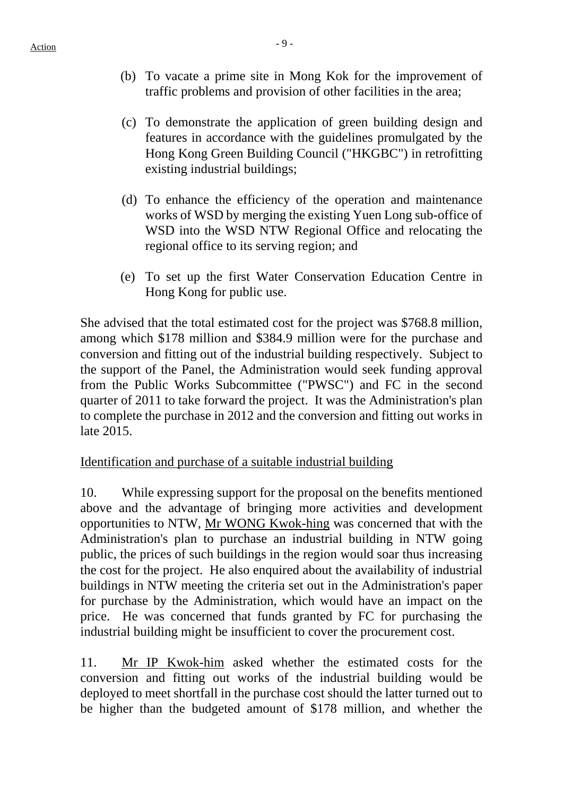- (b) To vacate a prime site in Mong Kok for the improvement of traffic problems and provision of other facilities in the area;
- (c) To demonstrate the application of green building design and features in accordance with the guidelines promulgated by the Hong Kong Green Building Council ("HKGBC") in retrofitting existing industrial buildings;
- (d) To enhance the efficiency of the operation and maintenance works of WSD by merging the existing Yuen Long sub-office of WSD into the WSD NTW Regional Office and relocating the regional office to its serving region; and
- (e) To set up the first Water Conservation Education Centre in Hong Kong for public use.

She advised that the total estimated cost for the project was \$768.8 million, among which \$178 million and \$384.9 million were for the purchase and conversion and fitting out of the industrial building respectively. Subject to the support of the Panel, the Administration would seek funding approval from the Public Works Subcommittee ("PWSC") and FC in the second quarter of 2011 to take forward the project. It was the Administration's plan to complete the purchase in 2012 and the conversion and fitting out works in late 2015.

# Identification and purchase of a suitable industrial building

10. While expressing support for the proposal on the benefits mentioned above and the advantage of bringing more activities and development opportunities to NTW, Mr WONG Kwok-hing was concerned that with the Administration's plan to purchase an industrial building in NTW going public, the prices of such buildings in the region would soar thus increasing the cost for the project. He also enquired about the availability of industrial buildings in NTW meeting the criteria set out in the Administration's paper for purchase by the Administration, which would have an impact on the price. He was concerned that funds granted by FC for purchasing the industrial building might be insufficient to cover the procurement cost.

11. Mr IP Kwok-him asked whether the estimated costs for the conversion and fitting out works of the industrial building would be deployed to meet shortfall in the purchase cost should the latter turned out to be higher than the budgeted amount of \$178 million, and whether the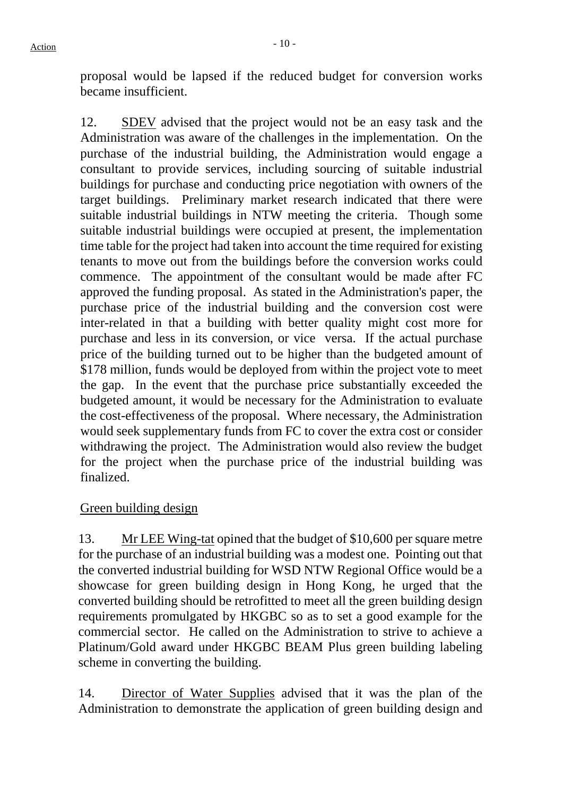proposal would be lapsed if the reduced budget for conversion works became insufficient.

12. SDEV advised that the project would not be an easy task and the Administration was aware of the challenges in the implementation. On the purchase of the industrial building, the Administration would engage a consultant to provide services, including sourcing of suitable industrial buildings for purchase and conducting price negotiation with owners of the target buildings. Preliminary market research indicated that there were suitable industrial buildings in NTW meeting the criteria. Though some suitable industrial buildings were occupied at present, the implementation time table for the project had taken into account the time required for existing tenants to move out from the buildings before the conversion works could commence. The appointment of the consultant would be made after FC approved the funding proposal. As stated in the Administration's paper, the purchase price of the industrial building and the conversion cost were inter-related in that a building with better quality might cost more for purchase and less in its conversion, or vice versa. If the actual purchase price of the building turned out to be higher than the budgeted amount of \$178 million, funds would be deployed from within the project vote to meet the gap. In the event that the purchase price substantially exceeded the budgeted amount, it would be necessary for the Administration to evaluate the cost-effectiveness of the proposal. Where necessary, the Administration would seek supplementary funds from FC to cover the extra cost or consider withdrawing the project. The Administration would also review the budget for the project when the purchase price of the industrial building was finalized.

# Green building design

13. Mr LEE Wing-tat opined that the budget of \$10,600 per square metre for the purchase of an industrial building was a modest one. Pointing out that the converted industrial building for WSD NTW Regional Office would be a showcase for green building design in Hong Kong, he urged that the converted building should be retrofitted to meet all the green building design requirements promulgated by HKGBC so as to set a good example for the commercial sector. He called on the Administration to strive to achieve a Platinum/Gold award under HKGBC BEAM Plus green building labeling scheme in converting the building.

14. Director of Water Supplies advised that it was the plan of the Administration to demonstrate the application of green building design and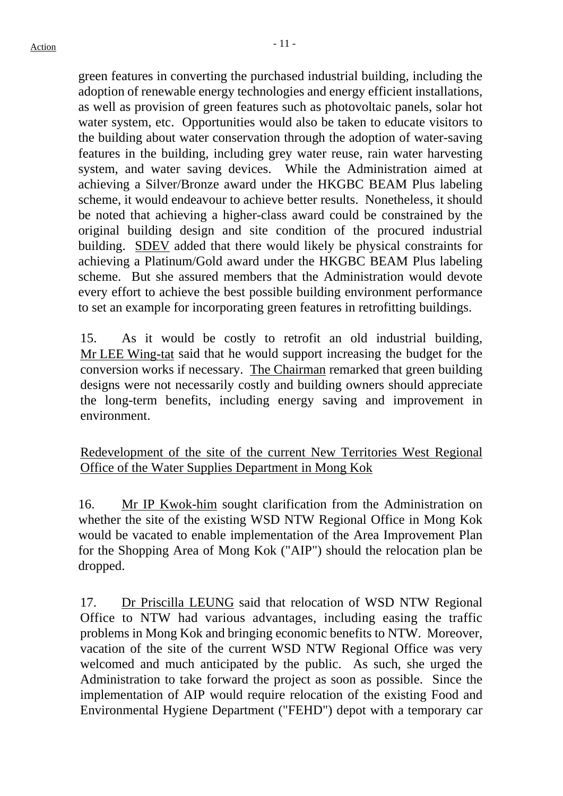green features in converting the purchased industrial building, including the adoption of renewable energy technologies and energy efficient installations, as well as provision of green features such as photovoltaic panels, solar hot water system, etc. Opportunities would also be taken to educate visitors to the building about water conservation through the adoption of water-saving features in the building, including grey water reuse, rain water harvesting system, and water saving devices. While the Administration aimed at achieving a Silver/Bronze award under the HKGBC BEAM Plus labeling scheme, it would endeavour to achieve better results. Nonetheless, it should be noted that achieving a higher-class award could be constrained by the original building design and site condition of the procured industrial building. SDEV added that there would likely be physical constraints for achieving a Platinum/Gold award under the HKGBC BEAM Plus labeling scheme. But she assured members that the Administration would devote every effort to achieve the best possible building environment performance to set an example for incorporating green features in retrofitting buildings.

15. As it would be costly to retrofit an old industrial building, Mr LEE Wing-tat said that he would support increasing the budget for the conversion works if necessary. The Chairman remarked that green building designs were not necessarily costly and building owners should appreciate the long-term benefits, including energy saving and improvement in environment.

Redevelopment of the site of the current New Territories West Regional Office of the Water Supplies Department in Mong Kok

16. Mr IP Kwok-him sought clarification from the Administration on whether the site of the existing WSD NTW Regional Office in Mong Kok would be vacated to enable implementation of the Area Improvement Plan for the Shopping Area of Mong Kok ("AIP") should the relocation plan be dropped.

17. Dr Priscilla LEUNG said that relocation of WSD NTW Regional Office to NTW had various advantages, including easing the traffic problems in Mong Kok and bringing economic benefits to NTW. Moreover, vacation of the site of the current WSD NTW Regional Office was very welcomed and much anticipated by the public. As such, she urged the Administration to take forward the project as soon as possible. Since the implementation of AIP would require relocation of the existing Food and Environmental Hygiene Department ("FEHD") depot with a temporary car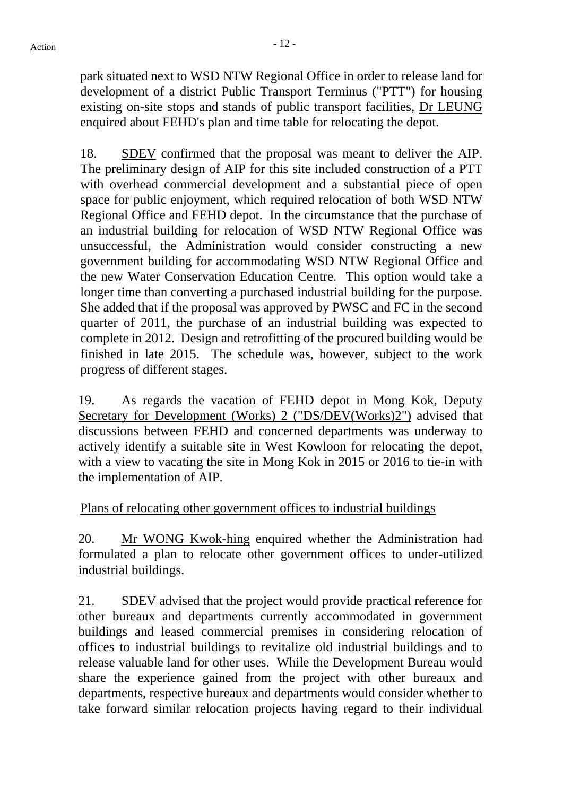park situated next to WSD NTW Regional Office in order to release land for development of a district Public Transport Terminus ("PTT") for housing existing on-site stops and stands of public transport facilities, Dr LEUNG enquired about FEHD's plan and time table for relocating the depot.

18. SDEV confirmed that the proposal was meant to deliver the AIP. The preliminary design of AIP for this site included construction of a PTT with overhead commercial development and a substantial piece of open space for public enjoyment, which required relocation of both WSD NTW Regional Office and FEHD depot. In the circumstance that the purchase of an industrial building for relocation of WSD NTW Regional Office was unsuccessful, the Administration would consider constructing a new government building for accommodating WSD NTW Regional Office and the new Water Conservation Education Centre. This option would take a longer time than converting a purchased industrial building for the purpose. She added that if the proposal was approved by PWSC and FC in the second quarter of 2011, the purchase of an industrial building was expected to complete in 2012. Design and retrofitting of the procured building would be finished in late 2015. The schedule was, however, subject to the work progress of different stages.

19. As regards the vacation of FEHD depot in Mong Kok, Deputy Secretary for Development (Works) 2 ("DS/DEV(Works)2") advised that discussions between FEHD and concerned departments was underway to actively identify a suitable site in West Kowloon for relocating the depot, with a view to vacating the site in Mong Kok in 2015 or 2016 to tie-in with the implementation of AIP.

# Plans of relocating other government offices to industrial buildings

20. Mr WONG Kwok-hing enquired whether the Administration had formulated a plan to relocate other government offices to under-utilized industrial buildings.

21. SDEV advised that the project would provide practical reference for other bureaux and departments currently accommodated in government buildings and leased commercial premises in considering relocation of offices to industrial buildings to revitalize old industrial buildings and to release valuable land for other uses. While the Development Bureau would share the experience gained from the project with other bureaux and departments, respective bureaux and departments would consider whether to take forward similar relocation projects having regard to their individual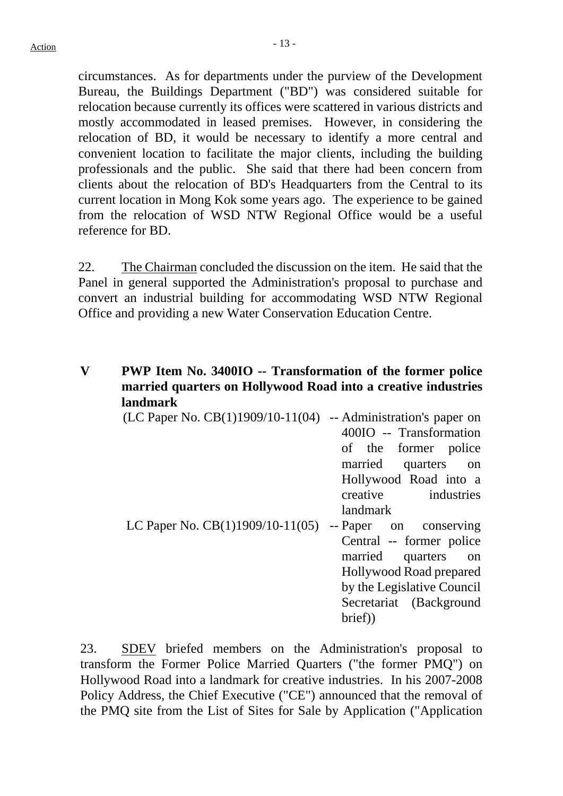circumstances. As for departments under the purview of the Development Bureau, the Buildings Department ("BD") was considered suitable for relocation because currently its offices were scattered in various districts and mostly accommodated in leased premises. However, in considering the relocation of BD, it would be necessary to identify a more central and convenient location to facilitate the major clients, including the building professionals and the public. She said that there had been concern from clients about the relocation of BD's Headquarters from the Central to its current location in Mong Kok some years ago. The experience to be gained from the relocation of WSD NTW Regional Office would be a useful reference for BD.

22. The Chairman concluded the discussion on the item. He said that the Panel in general supported the Administration's proposal to purchase and convert an industrial building for accommodating WSD NTW Regional Office and providing a new Water Conservation Education Centre.

# **V PWP Item No. 3400IO -- Transformation of the former police married quarters on Hollywood Road into a creative industries landmark**

| (LC Paper No. CB(1)1909/10-11(04)  | -- Administration's paper on |
|------------------------------------|------------------------------|
|                                    | 400IO -- Transformation      |
|                                    | of the former police         |
|                                    | married quarters on          |
|                                    | Hollywood Road into a        |
|                                    | creative industries          |
|                                    | <i>landmark</i>              |
| LC Paper No. $CB(1)1909/10-11(05)$ | -- Paper on conserving       |
|                                    | Central -- former police     |
|                                    | married quarters on          |
|                                    | Hollywood Road prepared      |
|                                    | by the Legislative Council   |
|                                    | Secretariat (Background      |
|                                    | brief)                       |
|                                    |                              |

23. SDEV briefed members on the Administration's proposal to transform the Former Police Married Quarters ("the former PMQ") on Hollywood Road into a landmark for creative industries. In his 2007-2008 Policy Address, the Chief Executive ("CE") announced that the removal of the PMQ site from the List of Sites for Sale by Application ("Application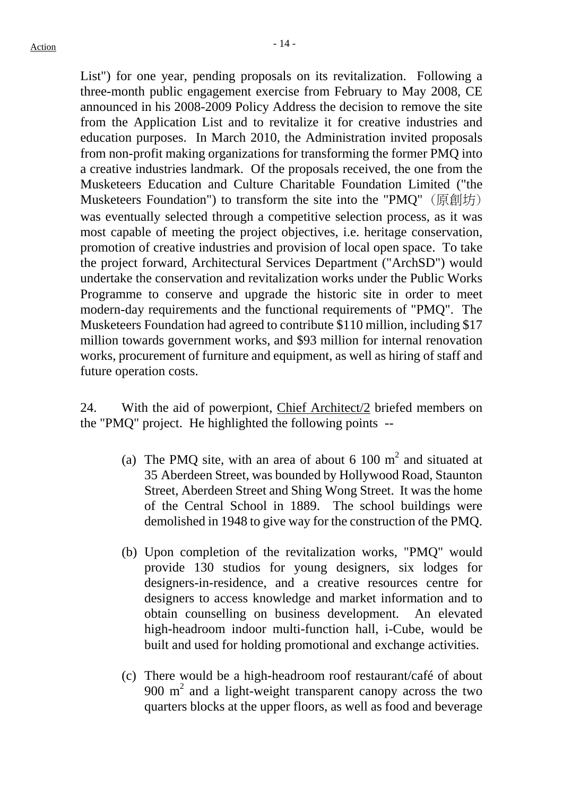List") for one year, pending proposals on its revitalization. Following a three-month public engagement exercise from February to May 2008, CE announced in his 2008-2009 Policy Address the decision to remove the site from the Application List and to revitalize it for creative industries and education purposes. In March 2010, the Administration invited proposals from non-profit making organizations for transforming the former PMQ into a creative industries landmark. Of the proposals received, the one from the Musketeers Education and Culture Charitable Foundation Limited ("the Musketeers Foundation") to transform the site into the "PMQ" (原創坊) was eventually selected through a competitive selection process, as it was most capable of meeting the project objectives, i.e. heritage conservation, promotion of creative industries and provision of local open space. To take the project forward, Architectural Services Department ("ArchSD") would undertake the conservation and revitalization works under the Public Works Programme to conserve and upgrade the historic site in order to meet modern-day requirements and the functional requirements of "PMQ". The Musketeers Foundation had agreed to contribute \$110 million, including \$17 million towards government works, and \$93 million for internal renovation works, procurement of furniture and equipment, as well as hiring of staff and future operation costs.

24. With the aid of powerpiont, Chief Architect/2 briefed members on the "PMQ" project. He highlighted the following points --

- (a) The PMQ site, with an area of about 6 100  $m<sup>2</sup>$  and situated at 35 Aberdeen Street, was bounded by Hollywood Road, Staunton Street, Aberdeen Street and Shing Wong Street. It was the home of the Central School in 1889. The school buildings were demolished in 1948 to give way for the construction of the PMQ.
- (b) Upon completion of the revitalization works, "PMQ" would provide 130 studios for young designers, six lodges for designers-in-residence, and a creative resources centre for designers to access knowledge and market information and to obtain counselling on business development. An elevated high-headroom indoor multi-function hall, i-Cube, would be built and used for holding promotional and exchange activities.
- (c) There would be a high-headroom roof restaurant/café of about 900  $m<sup>2</sup>$  and a light-weight transparent canopy across the two quarters blocks at the upper floors, as well as food and beverage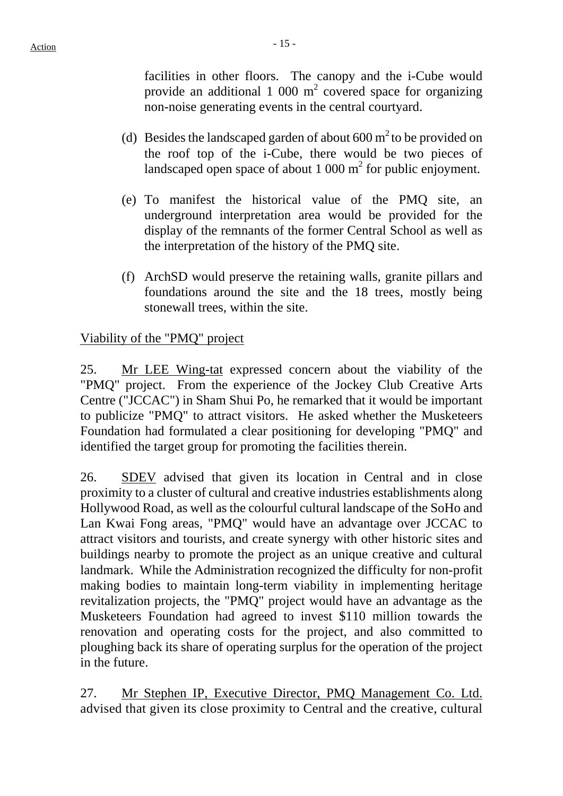facilities in other floors. The canopy and the i-Cube would provide an additional 1 000  $m^2$  covered space for organizing non-noise generating events in the central courtyard.

- (d) Besides the landscaped garden of about  $600 \text{ m}^2$  to be provided on the roof top of the i-Cube, there would be two pieces of landscaped open space of about  $1000 \text{ m}^2$  for public enjoyment.
- (e) To manifest the historical value of the PMQ site, an underground interpretation area would be provided for the display of the remnants of the former Central School as well as the interpretation of the history of the PMQ site.
- (f) ArchSD would preserve the retaining walls, granite pillars and foundations around the site and the 18 trees, mostly being stonewall trees, within the site.

# Viability of the "PMQ" project

25. Mr LEE Wing-tat expressed concern about the viability of the "PMQ" project. From the experience of the Jockey Club Creative Arts Centre ("JCCAC") in Sham Shui Po, he remarked that it would be important to publicize "PMQ" to attract visitors. He asked whether the Musketeers Foundation had formulated a clear positioning for developing "PMQ" and identified the target group for promoting the facilities therein.

26. SDEV advised that given its location in Central and in close proximity to a cluster of cultural and creative industries establishments along Hollywood Road, as well as the colourful cultural landscape of the SoHo and Lan Kwai Fong areas, "PMQ" would have an advantage over JCCAC to attract visitors and tourists, and create synergy with other historic sites and buildings nearby to promote the project as an unique creative and cultural landmark. While the Administration recognized the difficulty for non-profit making bodies to maintain long-term viability in implementing heritage revitalization projects, the "PMQ" project would have an advantage as the Musketeers Foundation had agreed to invest \$110 million towards the renovation and operating costs for the project, and also committed to ploughing back its share of operating surplus for the operation of the project in the future.

27. Mr Stephen IP, Executive Director, PMQ Management Co. Ltd. advised that given its close proximity to Central and the creative, cultural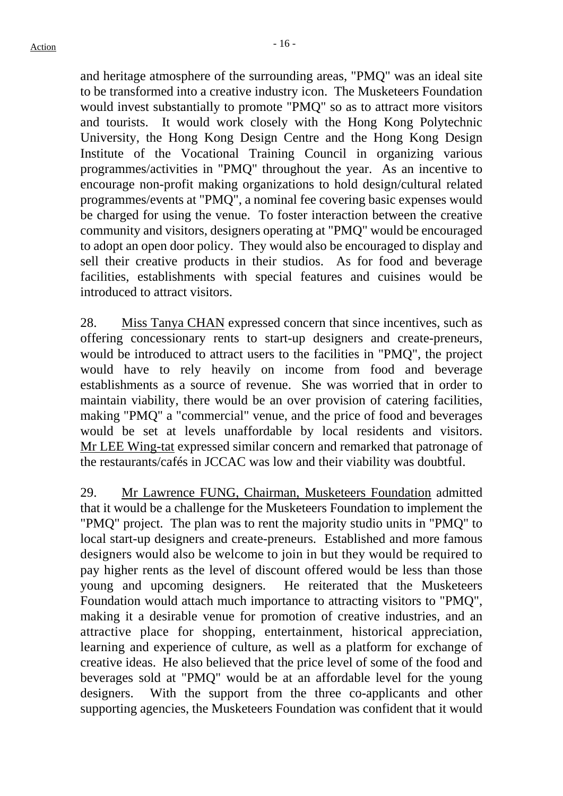and heritage atmosphere of the surrounding areas, "PMQ" was an ideal site to be transformed into a creative industry icon. The Musketeers Foundation would invest substantially to promote "PMQ" so as to attract more visitors and tourists. It would work closely with the Hong Kong Polytechnic University, the Hong Kong Design Centre and the Hong Kong Design Institute of the Vocational Training Council in organizing various programmes/activities in "PMQ" throughout the year. As an incentive to encourage non-profit making organizations to hold design/cultural related programmes/events at "PMQ", a nominal fee covering basic expenses would be charged for using the venue. To foster interaction between the creative community and visitors, designers operating at "PMQ" would be encouraged to adopt an open door policy. They would also be encouraged to display and sell their creative products in their studios. As for food and beverage facilities, establishments with special features and cuisines would be introduced to attract visitors.

28. Miss Tanya CHAN expressed concern that since incentives, such as offering concessionary rents to start-up designers and create-preneurs, would be introduced to attract users to the facilities in "PMQ", the project would have to rely heavily on income from food and beverage establishments as a source of revenue. She was worried that in order to maintain viability, there would be an over provision of catering facilities, making "PMQ" a "commercial" venue, and the price of food and beverages would be set at levels unaffordable by local residents and visitors. Mr LEE Wing-tat expressed similar concern and remarked that patronage of the restaurants/cafés in JCCAC was low and their viability was doubtful.

29. Mr Lawrence FUNG, Chairman, Musketeers Foundation admitted that it would be a challenge for the Musketeers Foundation to implement the "PMQ" project. The plan was to rent the majority studio units in "PMQ" to local start-up designers and create-preneurs. Established and more famous designers would also be welcome to join in but they would be required to pay higher rents as the level of discount offered would be less than those young and upcoming designers. He reiterated that the Musketeers Foundation would attach much importance to attracting visitors to "PMQ", making it a desirable venue for promotion of creative industries, and an attractive place for shopping, entertainment, historical appreciation, learning and experience of culture, as well as a platform for exchange of creative ideas. He also believed that the price level of some of the food and beverages sold at "PMQ" would be at an affordable level for the young designers. With the support from the three co-applicants and other supporting agencies, the Musketeers Foundation was confident that it would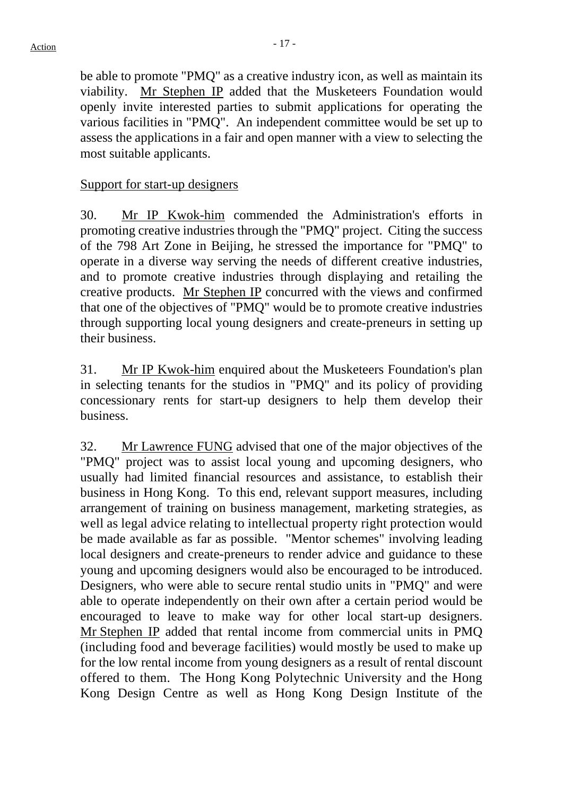be able to promote "PMQ" as a creative industry icon, as well as maintain its viability. Mr Stephen IP added that the Musketeers Foundation would openly invite interested parties to submit applications for operating the various facilities in "PMQ". An independent committee would be set up to assess the applications in a fair and open manner with a view to selecting the most suitable applicants.

## Support for start-up designers

30. Mr IP Kwok-him commended the Administration's efforts in promoting creative industries through the "PMQ" project. Citing the success of the 798 Art Zone in Beijing, he stressed the importance for "PMQ" to operate in a diverse way serving the needs of different creative industries, and to promote creative industries through displaying and retailing the creative products. Mr Stephen IP concurred with the views and confirmed that one of the objectives of "PMQ" would be to promote creative industries through supporting local young designers and create-preneurs in setting up their business.

31. Mr IP Kwok-him enquired about the Musketeers Foundation's plan in selecting tenants for the studios in "PMQ" and its policy of providing concessionary rents for start-up designers to help them develop their business.

32. Mr Lawrence FUNG advised that one of the major objectives of the "PMQ" project was to assist local young and upcoming designers, who usually had limited financial resources and assistance, to establish their business in Hong Kong. To this end, relevant support measures, including arrangement of training on business management, marketing strategies, as well as legal advice relating to intellectual property right protection would be made available as far as possible. "Mentor schemes" involving leading local designers and create-preneurs to render advice and guidance to these young and upcoming designers would also be encouraged to be introduced. Designers, who were able to secure rental studio units in "PMQ" and were able to operate independently on their own after a certain period would be encouraged to leave to make way for other local start-up designers. Mr Stephen IP added that rental income from commercial units in PMQ (including food and beverage facilities) would mostly be used to make up for the low rental income from young designers as a result of rental discount offered to them. The Hong Kong Polytechnic University and the Hong Kong Design Centre as well as Hong Kong Design Institute of the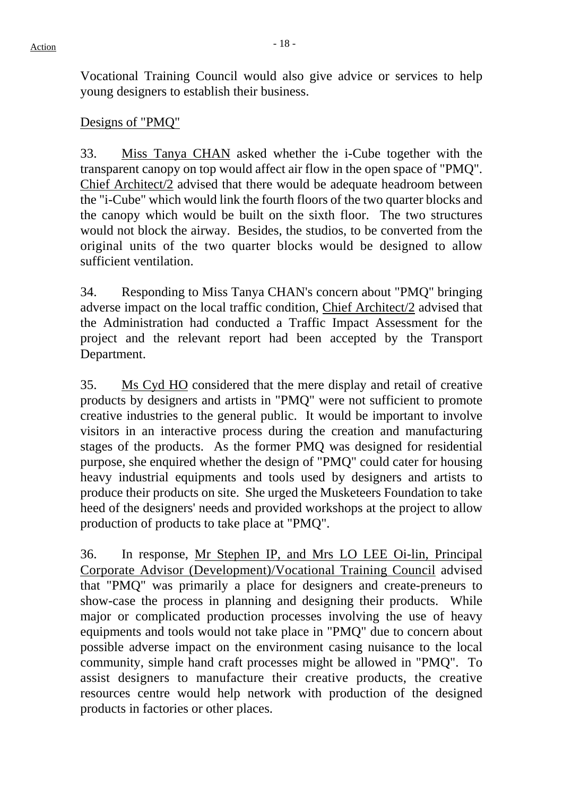Vocational Training Council would also give advice or services to help young designers to establish their business.

#### Designs of "PMQ"

33. Miss Tanya CHAN asked whether the i-Cube together with the transparent canopy on top would affect air flow in the open space of "PMQ". Chief Architect/2 advised that there would be adequate headroom between the "i-Cube" which would link the fourth floors of the two quarter blocks and the canopy which would be built on the sixth floor. The two structures would not block the airway. Besides, the studios, to be converted from the original units of the two quarter blocks would be designed to allow sufficient ventilation.

34. Responding to Miss Tanya CHAN's concern about "PMQ" bringing adverse impact on the local traffic condition, Chief Architect/2 advised that the Administration had conducted a Traffic Impact Assessment for the project and the relevant report had been accepted by the Transport Department.

35. Ms Cyd HO considered that the mere display and retail of creative products by designers and artists in "PMQ" were not sufficient to promote creative industries to the general public. It would be important to involve visitors in an interactive process during the creation and manufacturing stages of the products. As the former PMQ was designed for residential purpose, she enquired whether the design of "PMQ" could cater for housing heavy industrial equipments and tools used by designers and artists to produce their products on site. She urged the Musketeers Foundation to take heed of the designers' needs and provided workshops at the project to allow production of products to take place at "PMQ".

36. In response, Mr Stephen IP, and Mrs LO LEE Oi-lin, Principal Corporate Advisor (Development)/Vocational Training Council advised that "PMQ" was primarily a place for designers and create-preneurs to show-case the process in planning and designing their products. While major or complicated production processes involving the use of heavy equipments and tools would not take place in "PMQ" due to concern about possible adverse impact on the environment casing nuisance to the local community, simple hand craft processes might be allowed in "PMQ". To assist designers to manufacture their creative products, the creative resources centre would help network with production of the designed products in factories or other places.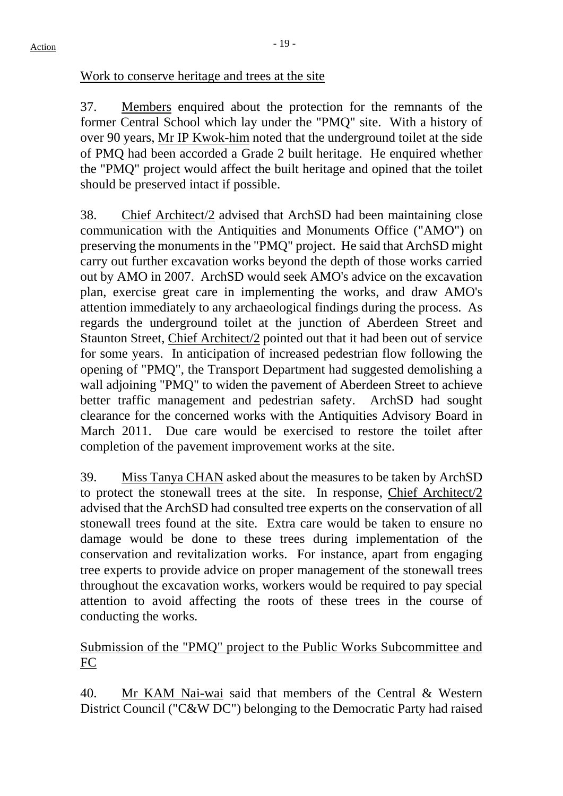Work to conserve heritage and trees at the site

37. Members enquired about the protection for the remnants of the former Central School which lay under the "PMQ" site. With a history of over 90 years, Mr IP Kwok-him noted that the underground toilet at the side of PMQ had been accorded a Grade 2 built heritage. He enquired whether the "PMQ" project would affect the built heritage and opined that the toilet should be preserved intact if possible.

38. Chief Architect/2 advised that ArchSD had been maintaining close communication with the Antiquities and Monuments Office ("AMO") on preserving the monuments in the "PMQ" project. He said that ArchSD might carry out further excavation works beyond the depth of those works carried out by AMO in 2007. ArchSD would seek AMO's advice on the excavation plan, exercise great care in implementing the works, and draw AMO's attention immediately to any archaeological findings during the process. As regards the underground toilet at the junction of Aberdeen Street and Staunton Street, Chief Architect/2 pointed out that it had been out of service for some years. In anticipation of increased pedestrian flow following the opening of "PMQ", the Transport Department had suggested demolishing a wall adjoining "PMQ" to widen the pavement of Aberdeen Street to achieve better traffic management and pedestrian safety. ArchSD had sought clearance for the concerned works with the Antiquities Advisory Board in March 2011. Due care would be exercised to restore the toilet after completion of the pavement improvement works at the site.

39. Miss Tanya CHAN asked about the measures to be taken by ArchSD to protect the stonewall trees at the site. In response, Chief Architect/2 advised that the ArchSD had consulted tree experts on the conservation of all stonewall trees found at the site. Extra care would be taken to ensure no damage would be done to these trees during implementation of the conservation and revitalization works. For instance, apart from engaging tree experts to provide advice on proper management of the stonewall trees throughout the excavation works, workers would be required to pay special attention to avoid affecting the roots of these trees in the course of conducting the works.

# Submission of the "PMQ" project to the Public Works Subcommittee and FC

40. Mr KAM Nai-wai said that members of the Central & Western District Council ("C&W DC") belonging to the Democratic Party had raised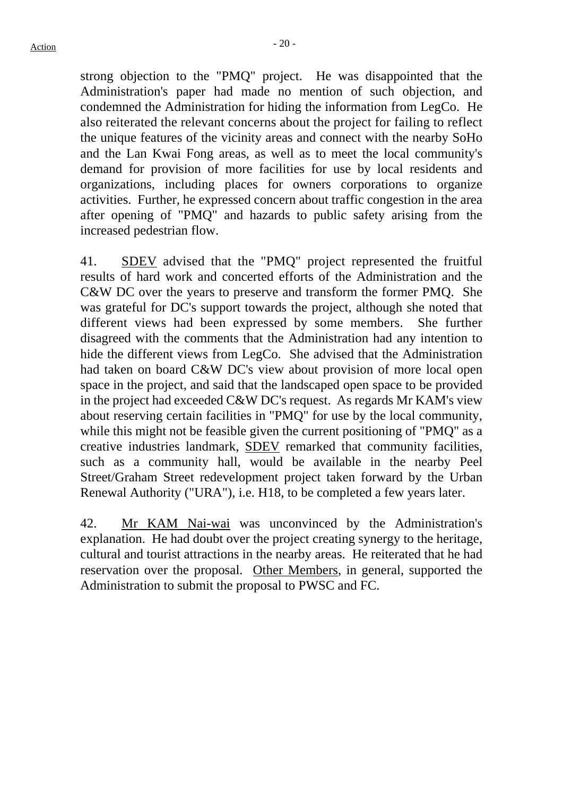strong objection to the "PMQ" project. He was disappointed that the Administration's paper had made no mention of such objection, and condemned the Administration for hiding the information from LegCo. He also reiterated the relevant concerns about the project for failing to reflect the unique features of the vicinity areas and connect with the nearby SoHo and the Lan Kwai Fong areas, as well as to meet the local community's demand for provision of more facilities for use by local residents and organizations, including places for owners corporations to organize activities. Further, he expressed concern about traffic congestion in the area after opening of "PMQ" and hazards to public safety arising from the increased pedestrian flow.

41. SDEV advised that the "PMQ" project represented the fruitful results of hard work and concerted efforts of the Administration and the C&W DC over the years to preserve and transform the former PMQ. She was grateful for DC's support towards the project, although she noted that different views had been expressed by some members. She further disagreed with the comments that the Administration had any intention to hide the different views from LegCo. She advised that the Administration had taken on board C&W DC's view about provision of more local open space in the project, and said that the landscaped open space to be provided in the project had exceeded C&W DC's request. As regards Mr KAM's view about reserving certain facilities in "PMQ" for use by the local community, while this might not be feasible given the current positioning of "PMQ" as a creative industries landmark, SDEV remarked that community facilities, such as a community hall, would be available in the nearby Peel Street/Graham Street redevelopment project taken forward by the Urban Renewal Authority ("URA"), i.e. H18, to be completed a few years later.

42. Mr KAM Nai-wai was unconvinced by the Administration's explanation. He had doubt over the project creating synergy to the heritage, cultural and tourist attractions in the nearby areas. He reiterated that he had reservation over the proposal. Other Members, in general, supported the Administration to submit the proposal to PWSC and FC.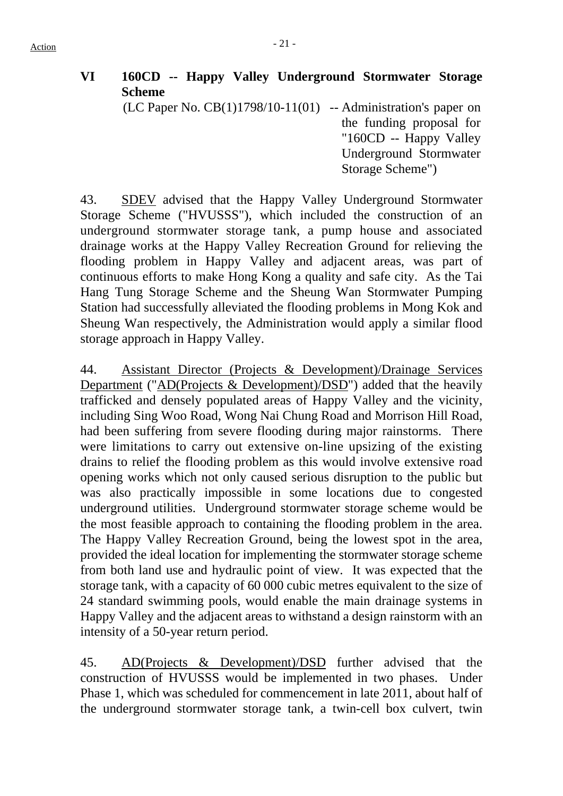# **VI 160CD -- Happy Valley Underground Stormwater Storage Scheme**

 $(LC$  Paper No.  $CB(1)1798/10-11(01)$  -- Administration's paper on

the funding proposal for "160CD -- Happy Valley Underground Stormwater Storage Scheme")

43. SDEV advised that the Happy Valley Underground Stormwater Storage Scheme ("HVUSSS"), which included the construction of an underground stormwater storage tank, a pump house and associated drainage works at the Happy Valley Recreation Ground for relieving the flooding problem in Happy Valley and adjacent areas, was part of continuous efforts to make Hong Kong a quality and safe city. As the Tai Hang Tung Storage Scheme and the Sheung Wan Stormwater Pumping Station had successfully alleviated the flooding problems in Mong Kok and Sheung Wan respectively, the Administration would apply a similar flood storage approach in Happy Valley.

44. Assistant Director (Projects & Development)/Drainage Services Department ("AD(Projects & Development)/DSD") added that the heavily trafficked and densely populated areas of Happy Valley and the vicinity, including Sing Woo Road, Wong Nai Chung Road and Morrison Hill Road, had been suffering from severe flooding during major rainstorms. There were limitations to carry out extensive on-line upsizing of the existing drains to relief the flooding problem as this would involve extensive road opening works which not only caused serious disruption to the public but was also practically impossible in some locations due to congested underground utilities. Underground stormwater storage scheme would be the most feasible approach to containing the flooding problem in the area. The Happy Valley Recreation Ground, being the lowest spot in the area, provided the ideal location for implementing the stormwater storage scheme from both land use and hydraulic point of view. It was expected that the storage tank, with a capacity of 60 000 cubic metres equivalent to the size of 24 standard swimming pools, would enable the main drainage systems in Happy Valley and the adjacent areas to withstand a design rainstorm with an intensity of a 50-year return period.

45. AD(Projects & Development)/DSD further advised that the construction of HVUSSS would be implemented in two phases. Under Phase 1, which was scheduled for commencement in late 2011, about half of the underground stormwater storage tank, a twin-cell box culvert, twin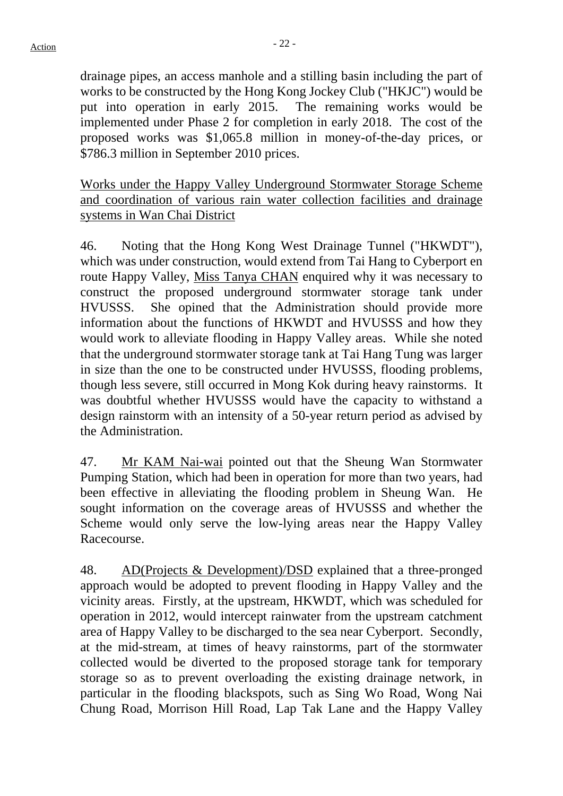drainage pipes, an access manhole and a stilling basin including the part of works to be constructed by the Hong Kong Jockey Club ("HKJC") would be put into operation in early 2015. The remaining works would be implemented under Phase 2 for completion in early 2018. The cost of the proposed works was \$1,065.8 million in money-of-the-day prices, or \$786.3 million in September 2010 prices.

Works under the Happy Valley Underground Stormwater Storage Scheme and coordination of various rain water collection facilities and drainage systems in Wan Chai District

46. Noting that the Hong Kong West Drainage Tunnel ("HKWDT"), which was under construction, would extend from Tai Hang to Cyberport en route Happy Valley, Miss Tanya CHAN enquired why it was necessary to construct the proposed underground stormwater storage tank under HVUSSS. She opined that the Administration should provide more information about the functions of HKWDT and HVUSSS and how they would work to alleviate flooding in Happy Valley areas. While she noted that the underground stormwater storage tank at Tai Hang Tung was larger in size than the one to be constructed under HVUSSS, flooding problems, though less severe, still occurred in Mong Kok during heavy rainstorms. It was doubtful whether HVUSSS would have the capacity to withstand a design rainstorm with an intensity of a 50-year return period as advised by the Administration.

47. Mr KAM Nai-wai pointed out that the Sheung Wan Stormwater Pumping Station, which had been in operation for more than two years, had been effective in alleviating the flooding problem in Sheung Wan. He sought information on the coverage areas of HVUSSS and whether the Scheme would only serve the low-lying areas near the Happy Valley Racecourse.

48. AD(Projects & Development)/DSD explained that a three-pronged approach would be adopted to prevent flooding in Happy Valley and the vicinity areas. Firstly, at the upstream, HKWDT, which was scheduled for operation in 2012, would intercept rainwater from the upstream catchment area of Happy Valley to be discharged to the sea near Cyberport. Secondly, at the mid-stream, at times of heavy rainstorms, part of the stormwater collected would be diverted to the proposed storage tank for temporary storage so as to prevent overloading the existing drainage network, in particular in the flooding blackspots, such as Sing Wo Road, Wong Nai Chung Road, Morrison Hill Road, Lap Tak Lane and the Happy Valley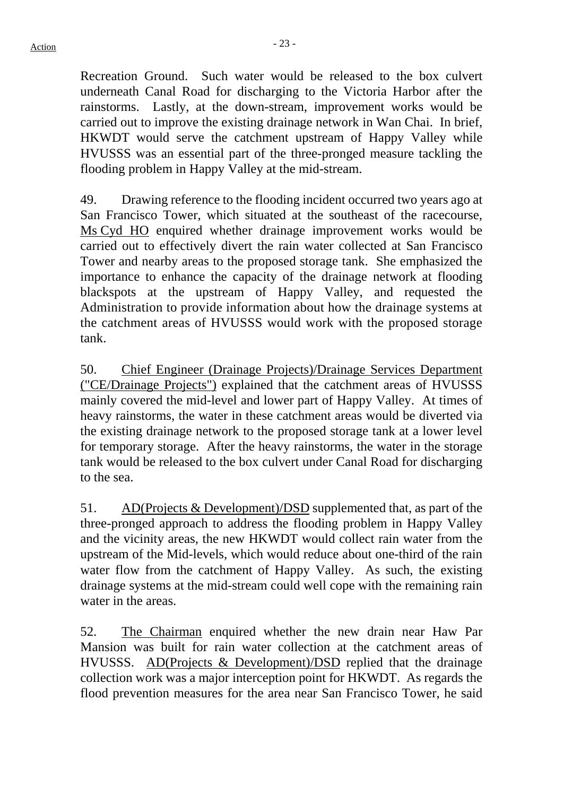Recreation Ground. Such water would be released to the box culvert underneath Canal Road for discharging to the Victoria Harbor after the rainstorms. Lastly, at the down-stream, improvement works would be carried out to improve the existing drainage network in Wan Chai. In brief, HKWDT would serve the catchment upstream of Happy Valley while HVUSSS was an essential part of the three-pronged measure tackling the flooding problem in Happy Valley at the mid-stream.

49. Drawing reference to the flooding incident occurred two years ago at San Francisco Tower, which situated at the southeast of the racecourse, Ms Cyd HO enquired whether drainage improvement works would be carried out to effectively divert the rain water collected at San Francisco Tower and nearby areas to the proposed storage tank. She emphasized the importance to enhance the capacity of the drainage network at flooding blackspots at the upstream of Happy Valley, and requested the Administration to provide information about how the drainage systems at the catchment areas of HVUSSS would work with the proposed storage tank.

50. Chief Engineer (Drainage Projects)/Drainage Services Department ("CE/Drainage Projects") explained that the catchment areas of HVUSSS mainly covered the mid-level and lower part of Happy Valley. At times of heavy rainstorms, the water in these catchment areas would be diverted via the existing drainage network to the proposed storage tank at a lower level for temporary storage. After the heavy rainstorms, the water in the storage tank would be released to the box culvert under Canal Road for discharging to the sea.

51. AD(Projects & Development)/DSD supplemented that, as part of the three-pronged approach to address the flooding problem in Happy Valley and the vicinity areas, the new HKWDT would collect rain water from the upstream of the Mid-levels, which would reduce about one-third of the rain water flow from the catchment of Happy Valley. As such, the existing drainage systems at the mid-stream could well cope with the remaining rain water in the areas.

52. The Chairman enquired whether the new drain near Haw Par Mansion was built for rain water collection at the catchment areas of HVUSSS. AD(Projects & Development)/DSD replied that the drainage collection work was a major interception point for HKWDT. As regards the flood prevention measures for the area near San Francisco Tower, he said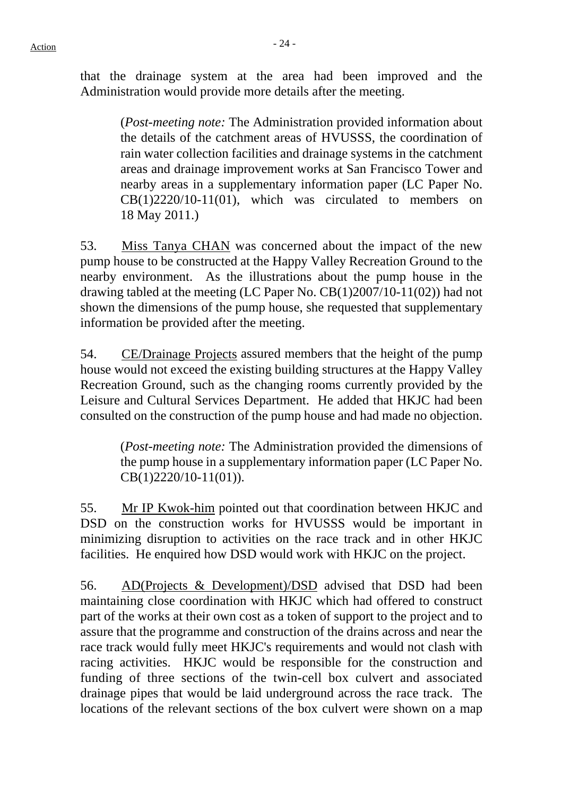that the drainage system at the area had been improved and the Administration would provide more details after the meeting.

(*Post-meeting note:* The Administration provided information about the details of the catchment areas of HVUSSS, the coordination of rain water collection facilities and drainage systems in the catchment areas and drainage improvement works at San Francisco Tower and nearby areas in a supplementary information paper (LC Paper No. CB(1)2220/10-11(01), which was circulated to members on 18 May 2011.)

53. Miss Tanya CHAN was concerned about the impact of the new pump house to be constructed at the Happy Valley Recreation Ground to the nearby environment. As the illustrations about the pump house in the drawing tabled at the meeting (LC Paper No. CB(1)2007/10-11(02)) had not shown the dimensions of the pump house, she requested that supplementary information be provided after the meeting.

54. CE/Drainage Projects assured members that the height of the pump house would not exceed the existing building structures at the Happy Valley Recreation Ground, such as the changing rooms currently provided by the Leisure and Cultural Services Department. He added that HKJC had been consulted on the construction of the pump house and had made no objection.

> (*Post-meeting note:* The Administration provided the dimensions of the pump house in a supplementary information paper (LC Paper No. CB(1)2220/10-11(01)).

55. Mr IP Kwok-him pointed out that coordination between HKJC and DSD on the construction works for HVUSSS would be important in minimizing disruption to activities on the race track and in other HKJC facilities. He enquired how DSD would work with HKJC on the project.

56. AD(Projects & Development)/DSD advised that DSD had been maintaining close coordination with HKJC which had offered to construct part of the works at their own cost as a token of support to the project and to assure that the programme and construction of the drains across and near the race track would fully meet HKJC's requirements and would not clash with racing activities. HKJC would be responsible for the construction and funding of three sections of the twin-cell box culvert and associated drainage pipes that would be laid underground across the race track. The locations of the relevant sections of the box culvert were shown on a map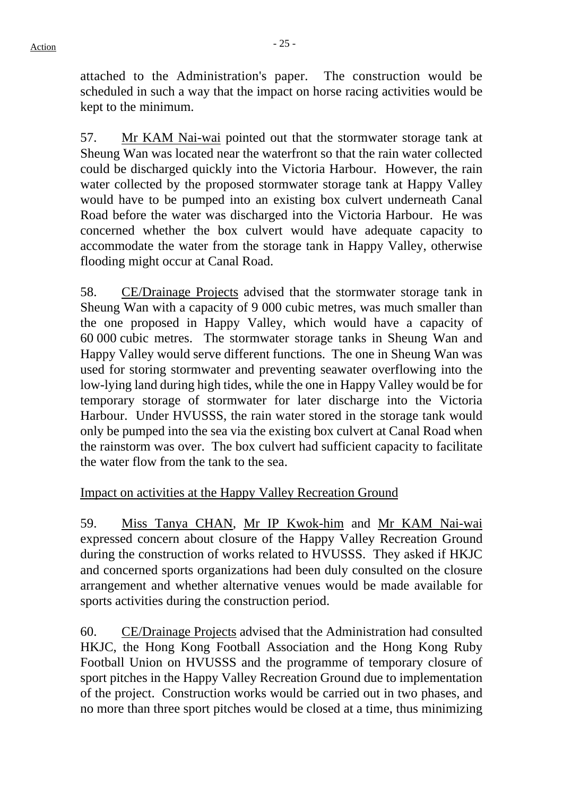attached to the Administration's paper. The construction would be scheduled in such a way that the impact on horse racing activities would be kept to the minimum.

57. Mr KAM Nai-wai pointed out that the stormwater storage tank at Sheung Wan was located near the waterfront so that the rain water collected could be discharged quickly into the Victoria Harbour. However, the rain water collected by the proposed stormwater storage tank at Happy Valley would have to be pumped into an existing box culvert underneath Canal Road before the water was discharged into the Victoria Harbour. He was concerned whether the box culvert would have adequate capacity to accommodate the water from the storage tank in Happy Valley, otherwise flooding might occur at Canal Road.

58. CE/Drainage Projects advised that the stormwater storage tank in Sheung Wan with a capacity of 9 000 cubic metres, was much smaller than the one proposed in Happy Valley, which would have a capacity of 60 000 cubic metres. The stormwater storage tanks in Sheung Wan and Happy Valley would serve different functions. The one in Sheung Wan was used for storing stormwater and preventing seawater overflowing into the low-lying land during high tides, while the one in Happy Valley would be for temporary storage of stormwater for later discharge into the Victoria Harbour. Under HVUSSS, the rain water stored in the storage tank would only be pumped into the sea via the existing box culvert at Canal Road when the rainstorm was over. The box culvert had sufficient capacity to facilitate the water flow from the tank to the sea.

# Impact on activities at the Happy Valley Recreation Ground

59. Miss Tanya CHAN, Mr IP Kwok-him and Mr KAM Nai-wai expressed concern about closure of the Happy Valley Recreation Ground during the construction of works related to HVUSSS. They asked if HKJC and concerned sports organizations had been duly consulted on the closure arrangement and whether alternative venues would be made available for sports activities during the construction period.

60. CE/Drainage Projects advised that the Administration had consulted HKJC, the Hong Kong Football Association and the Hong Kong Ruby Football Union on HVUSSS and the programme of temporary closure of sport pitches in the Happy Valley Recreation Ground due to implementation of the project. Construction works would be carried out in two phases, and no more than three sport pitches would be closed at a time, thus minimizing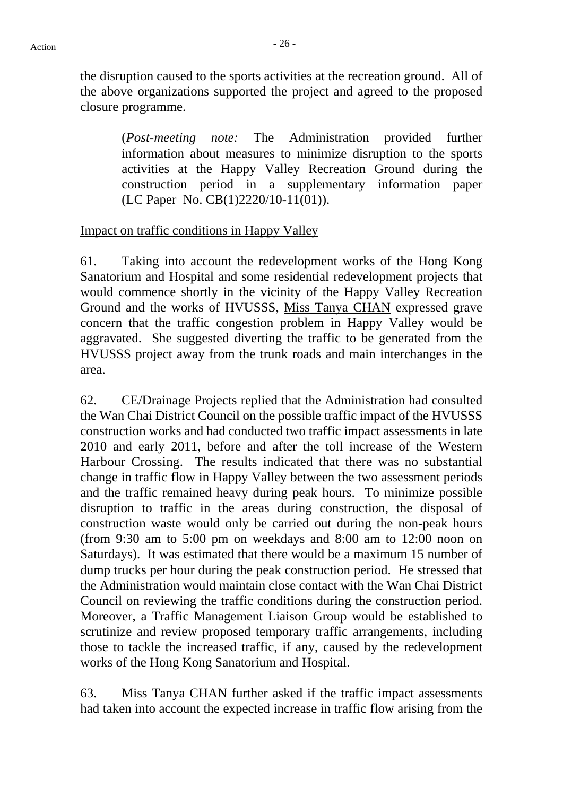the disruption caused to the sports activities at the recreation ground. All of the above organizations supported the project and agreed to the proposed closure programme.

> (*Post-meeting note:* The Administration provided further information about measures to minimize disruption to the sports activities at the Happy Valley Recreation Ground during the construction period in a supplementary information paper (LC Paper No. CB(1)2220/10-11(01)).

#### Impact on traffic conditions in Happy Valley

61. Taking into account the redevelopment works of the Hong Kong Sanatorium and Hospital and some residential redevelopment projects that would commence shortly in the vicinity of the Happy Valley Recreation Ground and the works of HVUSSS, Miss Tanya CHAN expressed grave concern that the traffic congestion problem in Happy Valley would be aggravated. She suggested diverting the traffic to be generated from the HVUSSS project away from the trunk roads and main interchanges in the area.

62. CE/Drainage Projects replied that the Administration had consulted the Wan Chai District Council on the possible traffic impact of the HVUSSS construction works and had conducted two traffic impact assessments in late 2010 and early 2011, before and after the toll increase of the Western Harbour Crossing. The results indicated that there was no substantial change in traffic flow in Happy Valley between the two assessment periods and the traffic remained heavy during peak hours. To minimize possible disruption to traffic in the areas during construction, the disposal of construction waste would only be carried out during the non-peak hours (from 9:30 am to 5:00 pm on weekdays and 8:00 am to 12:00 noon on Saturdays). It was estimated that there would be a maximum 15 number of dump trucks per hour during the peak construction period. He stressed that the Administration would maintain close contact with the Wan Chai District Council on reviewing the traffic conditions during the construction period. Moreover, a Traffic Management Liaison Group would be established to scrutinize and review proposed temporary traffic arrangements, including those to tackle the increased traffic, if any, caused by the redevelopment works of the Hong Kong Sanatorium and Hospital.

63. Miss Tanya CHAN further asked if the traffic impact assessments had taken into account the expected increase in traffic flow arising from the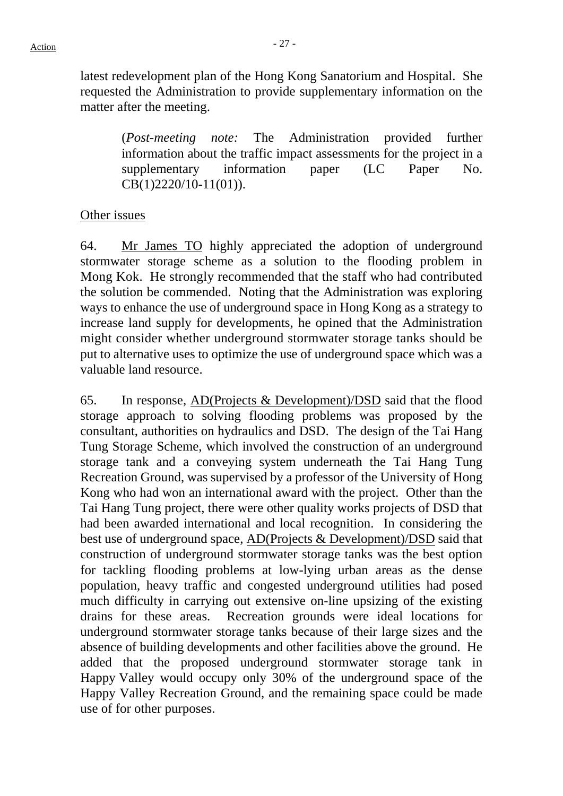latest redevelopment plan of the Hong Kong Sanatorium and Hospital. She requested the Administration to provide supplementary information on the matter after the meeting.

(*Post-meeting note:* The Administration provided further information about the traffic impact assessments for the project in a supplementary information paper (LC Paper No. CB(1)2220/10-11(01)).

#### Other issues

64. Mr James TO highly appreciated the adoption of underground stormwater storage scheme as a solution to the flooding problem in Mong Kok. He strongly recommended that the staff who had contributed the solution be commended. Noting that the Administration was exploring ways to enhance the use of underground space in Hong Kong as a strategy to increase land supply for developments, he opined that the Administration might consider whether underground stormwater storage tanks should be put to alternative uses to optimize the use of underground space which was a valuable land resource.

65. In response,  $AD(Proofs & Development)/DSD$  said that the flood storage approach to solving flooding problems was proposed by the consultant, authorities on hydraulics and DSD. The design of the Tai Hang Tung Storage Scheme, which involved the construction of an underground storage tank and a conveying system underneath the Tai Hang Tung Recreation Ground, was supervised by a professor of the University of Hong Kong who had won an international award with the project. Other than the Tai Hang Tung project, there were other quality works projects of DSD that had been awarded international and local recognition. In considering the best use of underground space, AD(Projects & Development)/DSD said that construction of underground stormwater storage tanks was the best option for tackling flooding problems at low-lying urban areas as the dense population, heavy traffic and congested underground utilities had posed much difficulty in carrying out extensive on-line upsizing of the existing drains for these areas. Recreation grounds were ideal locations for underground stormwater storage tanks because of their large sizes and the absence of building developments and other facilities above the ground. He added that the proposed underground stormwater storage tank in Happy Valley would occupy only 30% of the underground space of the Happy Valley Recreation Ground, and the remaining space could be made use of for other purposes.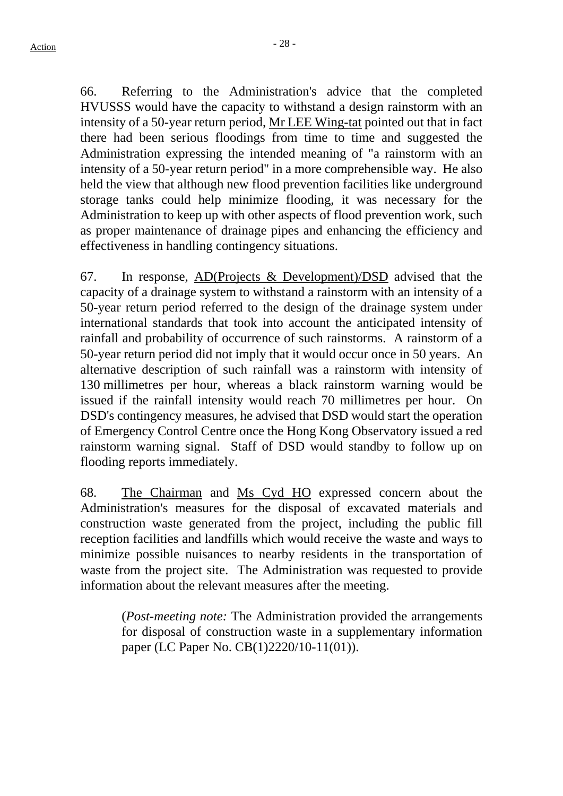66. Referring to the Administration's advice that the completed HVUSSS would have the capacity to withstand a design rainstorm with an intensity of a 50-year return period, Mr LEE Wing-tat pointed out that in fact there had been serious floodings from time to time and suggested the Administration expressing the intended meaning of "a rainstorm with an intensity of a 50-year return period" in a more comprehensible way. He also held the view that although new flood prevention facilities like underground storage tanks could help minimize flooding, it was necessary for the Administration to keep up with other aspects of flood prevention work, such as proper maintenance of drainage pipes and enhancing the efficiency and effectiveness in handling contingency situations.

67. In response, AD(Projects & Development)/DSD advised that the capacity of a drainage system to withstand a rainstorm with an intensity of a 50-year return period referred to the design of the drainage system under international standards that took into account the anticipated intensity of rainfall and probability of occurrence of such rainstorms. A rainstorm of a 50-year return period did not imply that it would occur once in 50 years. An alternative description of such rainfall was a rainstorm with intensity of 130 millimetres per hour, whereas a black rainstorm warning would be issued if the rainfall intensity would reach 70 millimetres per hour. On DSD's contingency measures, he advised that DSD would start the operation of Emergency Control Centre once the Hong Kong Observatory issued a red rainstorm warning signal. Staff of DSD would standby to follow up on flooding reports immediately.

68. The Chairman and Ms Cyd HO expressed concern about the Administration's measures for the disposal of excavated materials and construction waste generated from the project, including the public fill reception facilities and landfills which would receive the waste and ways to minimize possible nuisances to nearby residents in the transportation of waste from the project site. The Administration was requested to provide information about the relevant measures after the meeting.

(*Post-meeting note:* The Administration provided the arrangements for disposal of construction waste in a supplementary information paper (LC Paper No. CB(1)2220/10-11(01)).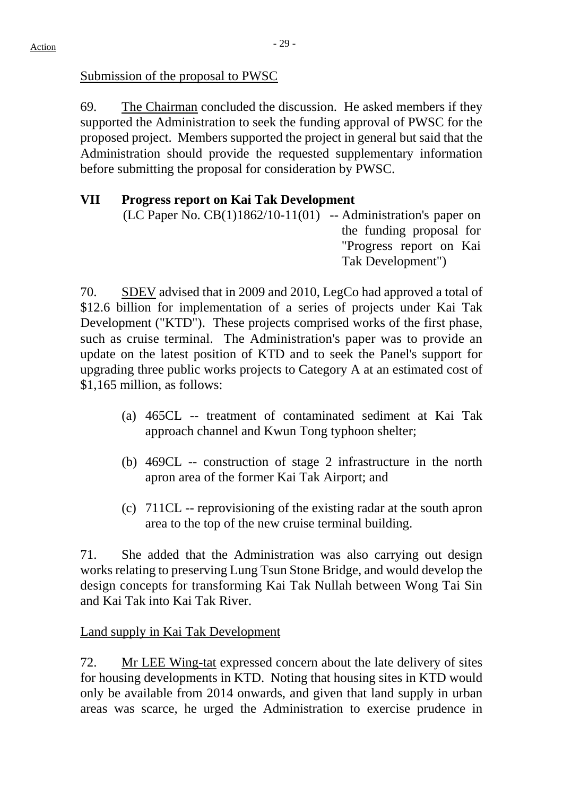Submission of the proposal to PWSC

69. The Chairman concluded the discussion. He asked members if they supported the Administration to seek the funding approval of PWSC for the proposed project. Members supported the project in general but said that the Administration should provide the requested supplementary information before submitting the proposal for consideration by PWSC.

# **VII Progress report on Kai Tak Development**

 $(LC$  Paper No.  $CB(1)1862/10-11(01)$  -- Administration's paper on the funding proposal for "Progress report on Kai Tak Development")

70. SDEV advised that in 2009 and 2010, LegCo had approved a total of \$12.6 billion for implementation of a series of projects under Kai Tak Development ("KTD"). These projects comprised works of the first phase, such as cruise terminal. The Administration's paper was to provide an update on the latest position of KTD and to seek the Panel's support for upgrading three public works projects to Category A at an estimated cost of \$1,165 million, as follows:

- (a) 465CL -- treatment of contaminated sediment at Kai Tak approach channel and Kwun Tong typhoon shelter;
- (b) 469CL -- construction of stage 2 infrastructure in the north apron area of the former Kai Tak Airport; and
- (c) 711CL -- reprovisioning of the existing radar at the south apron area to the top of the new cruise terminal building.

71. She added that the Administration was also carrying out design works relating to preserving Lung Tsun Stone Bridge, and would develop the design concepts for transforming Kai Tak Nullah between Wong Tai Sin and Kai Tak into Kai Tak River.

# Land supply in Kai Tak Development

72. Mr LEE Wing-tat expressed concern about the late delivery of sites for housing developments in KTD. Noting that housing sites in KTD would only be available from 2014 onwards, and given that land supply in urban areas was scarce, he urged the Administration to exercise prudence in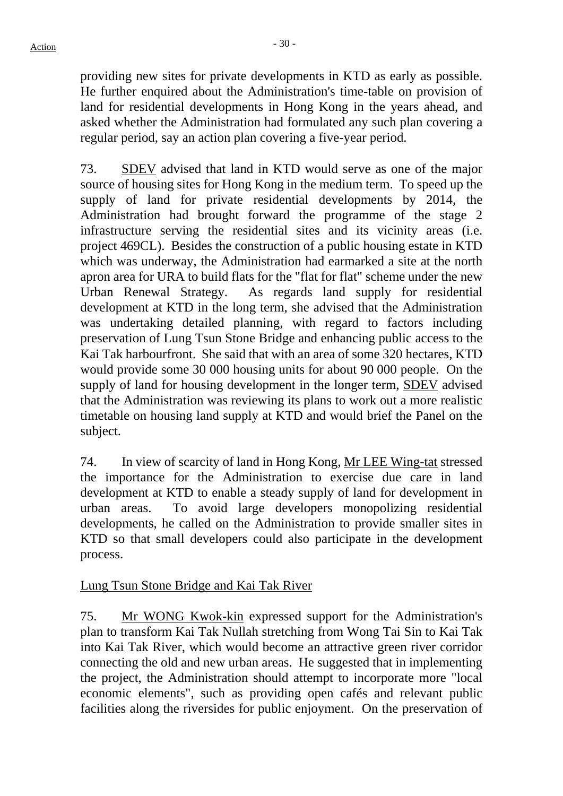providing new sites for private developments in KTD as early as possible. He further enquired about the Administration's time-table on provision of land for residential developments in Hong Kong in the years ahead, and asked whether the Administration had formulated any such plan covering a regular period, say an action plan covering a five-year period.

73. SDEV advised that land in KTD would serve as one of the major source of housing sites for Hong Kong in the medium term. To speed up the supply of land for private residential developments by 2014, the Administration had brought forward the programme of the stage 2 infrastructure serving the residential sites and its vicinity areas (i.e. project 469CL). Besides the construction of a public housing estate in KTD which was underway, the Administration had earmarked a site at the north apron area for URA to build flats for the "flat for flat" scheme under the new Urban Renewal Strategy. As regards land supply for residential development at KTD in the long term, she advised that the Administration was undertaking detailed planning, with regard to factors including preservation of Lung Tsun Stone Bridge and enhancing public access to the Kai Tak harbourfront. She said that with an area of some 320 hectares, KTD would provide some 30 000 housing units for about 90 000 people. On the supply of land for housing development in the longer term, SDEV advised that the Administration was reviewing its plans to work out a more realistic timetable on housing land supply at KTD and would brief the Panel on the subject.

74. In view of scarcity of land in Hong Kong, Mr LEE Wing-tat stressed the importance for the Administration to exercise due care in land development at KTD to enable a steady supply of land for development in urban areas. To avoid large developers monopolizing residential developments, he called on the Administration to provide smaller sites in KTD so that small developers could also participate in the development process.

# Lung Tsun Stone Bridge and Kai Tak River

75. Mr WONG Kwok-kin expressed support for the Administration's plan to transform Kai Tak Nullah stretching from Wong Tai Sin to Kai Tak into Kai Tak River, which would become an attractive green river corridor connecting the old and new urban areas. He suggested that in implementing the project, the Administration should attempt to incorporate more "local economic elements", such as providing open cafés and relevant public facilities along the riversides for public enjoyment. On the preservation of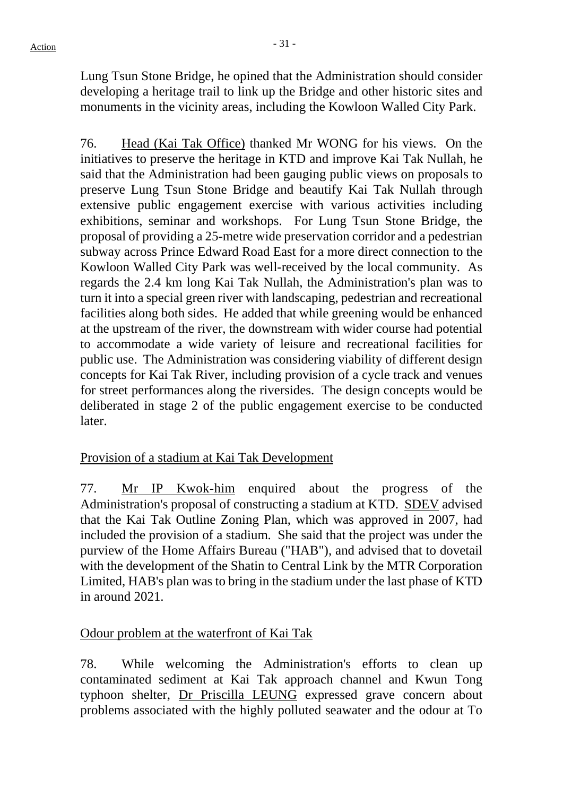Lung Tsun Stone Bridge, he opined that the Administration should consider developing a heritage trail to link up the Bridge and other historic sites and monuments in the vicinity areas, including the Kowloon Walled City Park.

76. Head (Kai Tak Office) thanked Mr WONG for his views. On the initiatives to preserve the heritage in KTD and improve Kai Tak Nullah, he said that the Administration had been gauging public views on proposals to preserve Lung Tsun Stone Bridge and beautify Kai Tak Nullah through extensive public engagement exercise with various activities including exhibitions, seminar and workshops. For Lung Tsun Stone Bridge, the proposal of providing a 25-metre wide preservation corridor and a pedestrian subway across Prince Edward Road East for a more direct connection to the Kowloon Walled City Park was well-received by the local community. As regards the 2.4 km long Kai Tak Nullah, the Administration's plan was to turn it into a special green river with landscaping, pedestrian and recreational facilities along both sides. He added that while greening would be enhanced at the upstream of the river, the downstream with wider course had potential to accommodate a wide variety of leisure and recreational facilities for public use. The Administration was considering viability of different design concepts for Kai Tak River, including provision of a cycle track and venues for street performances along the riversides. The design concepts would be deliberated in stage 2 of the public engagement exercise to be conducted later.

# Provision of a stadium at Kai Tak Development

77. Mr IP Kwok-him enquired about the progress of the Administration's proposal of constructing a stadium at KTD. SDEV advised that the Kai Tak Outline Zoning Plan, which was approved in 2007, had included the provision of a stadium. She said that the project was under the purview of the Home Affairs Bureau ("HAB"), and advised that to dovetail with the development of the Shatin to Central Link by the MTR Corporation Limited, HAB's plan was to bring in the stadium under the last phase of KTD in around 2021.

#### Odour problem at the waterfront of Kai Tak

78. While welcoming the Administration's efforts to clean up contaminated sediment at Kai Tak approach channel and Kwun Tong typhoon shelter, Dr Priscilla LEUNG expressed grave concern about problems associated with the highly polluted seawater and the odour at To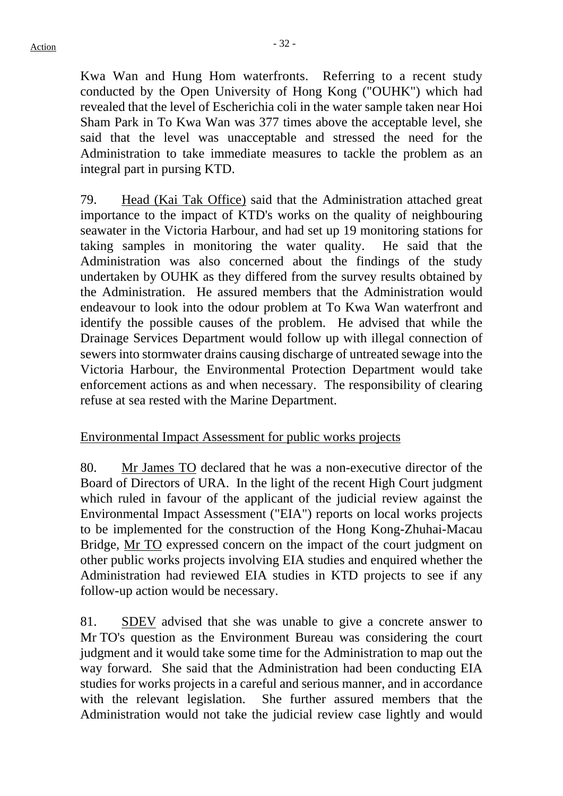Kwa Wan and Hung Hom waterfronts. Referring to a recent study conducted by the Open University of Hong Kong ("OUHK") which had revealed that the level of Escherichia coli in the water sample taken near Hoi Sham Park in To Kwa Wan was 377 times above the acceptable level, she said that the level was unacceptable and stressed the need for the Administration to take immediate measures to tackle the problem as an integral part in pursing KTD.

79. Head (Kai Tak Office) said that the Administration attached great importance to the impact of KTD's works on the quality of neighbouring seawater in the Victoria Harbour, and had set up 19 monitoring stations for taking samples in monitoring the water quality. He said that the Administration was also concerned about the findings of the study undertaken by OUHK as they differed from the survey results obtained by the Administration. He assured members that the Administration would endeavour to look into the odour problem at To Kwa Wan waterfront and identify the possible causes of the problem. He advised that while the Drainage Services Department would follow up with illegal connection of sewers into stormwater drains causing discharge of untreated sewage into the Victoria Harbour, the Environmental Protection Department would take enforcement actions as and when necessary. The responsibility of clearing refuse at sea rested with the Marine Department.

#### Environmental Impact Assessment for public works projects

80. Mr James TO declared that he was a non-executive director of the Board of Directors of URA. In the light of the recent High Court judgment which ruled in favour of the applicant of the judicial review against the Environmental Impact Assessment ("EIA") reports on local works projects to be implemented for the construction of the Hong Kong-Zhuhai-Macau Bridge, Mr TO expressed concern on the impact of the court judgment on other public works projects involving EIA studies and enquired whether the Administration had reviewed EIA studies in KTD projects to see if any follow-up action would be necessary.

81. SDEV advised that she was unable to give a concrete answer to Mr TO's question as the Environment Bureau was considering the court judgment and it would take some time for the Administration to map out the way forward. She said that the Administration had been conducting EIA studies for works projects in a careful and serious manner, and in accordance with the relevant legislation. She further assured members that the Administration would not take the judicial review case lightly and would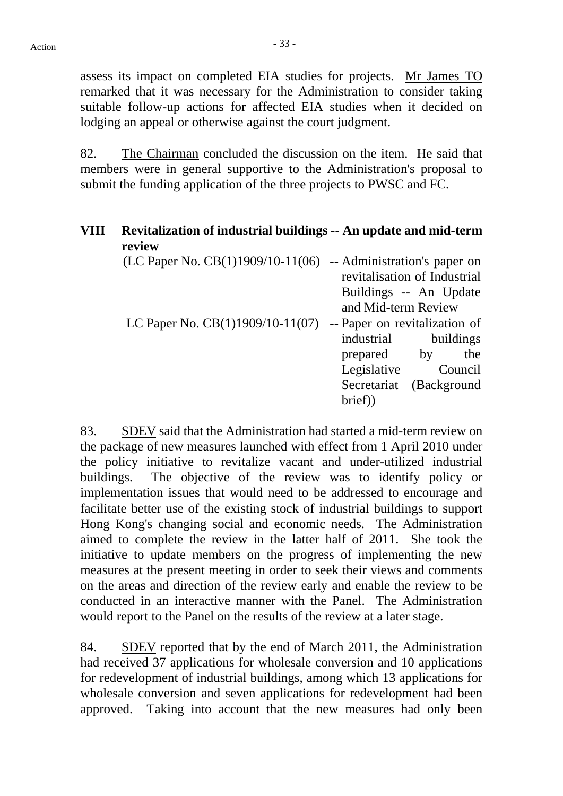assess its impact on completed EIA studies for projects. Mr James TO remarked that it was necessary for the Administration to consider taking suitable follow-up actions for affected EIA studies when it decided on lodging an appeal or otherwise against the court judgment.

82. The Chairman concluded the discussion on the item. He said that members were in general supportive to the Administration's proposal to submit the funding application of the three projects to PWSC and FC.

# **VIII Revitalization of industrial buildings -- An update and mid-term review**

| -- Administration's paper on  |
|-------------------------------|
| revitalisation of Industrial  |
| Buildings -- An Update        |
| and Mid-term Review           |
| -- Paper on revitalization of |
| industrial<br>buildings       |
| the<br>prepared by            |
| Legislative<br>Council        |
| Secretariat<br>(Background    |
| brief)                        |
|                               |

83. SDEV said that the Administration had started a mid-term review on the package of new measures launched with effect from 1 April 2010 under the policy initiative to revitalize vacant and under-utilized industrial buildings. The objective of the review was to identify policy or implementation issues that would need to be addressed to encourage and facilitate better use of the existing stock of industrial buildings to support Hong Kong's changing social and economic needs. The Administration aimed to complete the review in the latter half of 2011. She took the initiative to update members on the progress of implementing the new measures at the present meeting in order to seek their views and comments on the areas and direction of the review early and enable the review to be conducted in an interactive manner with the Panel. The Administration would report to the Panel on the results of the review at a later stage.

84. SDEV reported that by the end of March 2011, the Administration had received 37 applications for wholesale conversion and 10 applications for redevelopment of industrial buildings, among which 13 applications for wholesale conversion and seven applications for redevelopment had been approved. Taking into account that the new measures had only been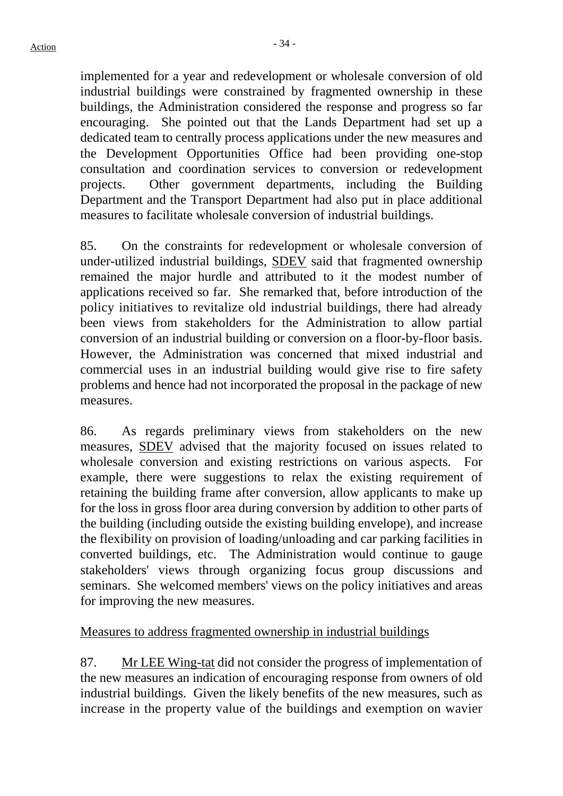implemented for a year and redevelopment or wholesale conversion of old industrial buildings were constrained by fragmented ownership in these buildings, the Administration considered the response and progress so far encouraging. She pointed out that the Lands Department had set up a dedicated team to centrally process applications under the new measures and the Development Opportunities Office had been providing one-stop consultation and coordination services to conversion or redevelopment projects. Other government departments, including the Building Department and the Transport Department had also put in place additional measures to facilitate wholesale conversion of industrial buildings.

85. On the constraints for redevelopment or wholesale conversion of under-utilized industrial buildings, SDEV said that fragmented ownership remained the major hurdle and attributed to it the modest number of applications received so far. She remarked that, before introduction of the policy initiatives to revitalize old industrial buildings, there had already been views from stakeholders for the Administration to allow partial conversion of an industrial building or conversion on a floor-by-floor basis. However, the Administration was concerned that mixed industrial and commercial uses in an industrial building would give rise to fire safety problems and hence had not incorporated the proposal in the package of new measures.

86. As regards preliminary views from stakeholders on the new measures, SDEV advised that the majority focused on issues related to wholesale conversion and existing restrictions on various aspects. For example, there were suggestions to relax the existing requirement of retaining the building frame after conversion, allow applicants to make up for the loss in gross floor area during conversion by addition to other parts of the building (including outside the existing building envelope), and increase the flexibility on provision of loading/unloading and car parking facilities in converted buildings, etc. The Administration would continue to gauge stakeholders' views through organizing focus group discussions and seminars. She welcomed members' views on the policy initiatives and areas for improving the new measures.

# Measures to address fragmented ownership in industrial buildings

87. Mr LEE Wing-tat did not consider the progress of implementation of the new measures an indication of encouraging response from owners of old industrial buildings. Given the likely benefits of the new measures, such as increase in the property value of the buildings and exemption on wavier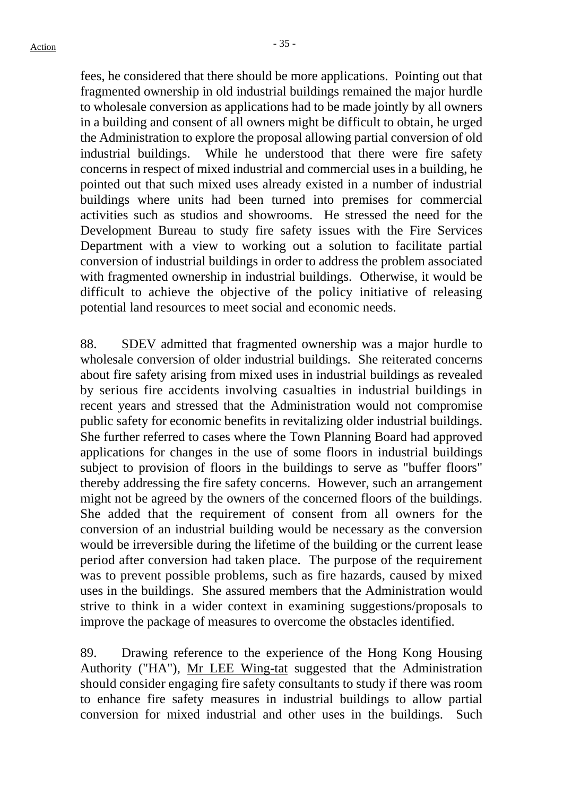fees, he considered that there should be more applications. Pointing out that fragmented ownership in old industrial buildings remained the major hurdle to wholesale conversion as applications had to be made jointly by all owners in a building and consent of all owners might be difficult to obtain, he urged the Administration to explore the proposal allowing partial conversion of old industrial buildings. While he understood that there were fire safety concerns in respect of mixed industrial and commercial uses in a building, he pointed out that such mixed uses already existed in a number of industrial buildings where units had been turned into premises for commercial activities such as studios and showrooms. He stressed the need for the Development Bureau to study fire safety issues with the Fire Services Department with a view to working out a solution to facilitate partial conversion of industrial buildings in order to address the problem associated with fragmented ownership in industrial buildings. Otherwise, it would be difficult to achieve the objective of the policy initiative of releasing potential land resources to meet social and economic needs.

88. SDEV admitted that fragmented ownership was a major hurdle to wholesale conversion of older industrial buildings. She reiterated concerns about fire safety arising from mixed uses in industrial buildings as revealed by serious fire accidents involving casualties in industrial buildings in recent years and stressed that the Administration would not compromise public safety for economic benefits in revitalizing older industrial buildings. She further referred to cases where the Town Planning Board had approved applications for changes in the use of some floors in industrial buildings subject to provision of floors in the buildings to serve as "buffer floors" thereby addressing the fire safety concerns. However, such an arrangement might not be agreed by the owners of the concerned floors of the buildings. She added that the requirement of consent from all owners for the conversion of an industrial building would be necessary as the conversion would be irreversible during the lifetime of the building or the current lease period after conversion had taken place. The purpose of the requirement was to prevent possible problems, such as fire hazards, caused by mixed uses in the buildings. She assured members that the Administration would strive to think in a wider context in examining suggestions/proposals to improve the package of measures to overcome the obstacles identified.

89. Drawing reference to the experience of the Hong Kong Housing Authority ("HA"), Mr LEE Wing-tat suggested that the Administration should consider engaging fire safety consultants to study if there was room to enhance fire safety measures in industrial buildings to allow partial conversion for mixed industrial and other uses in the buildings. Such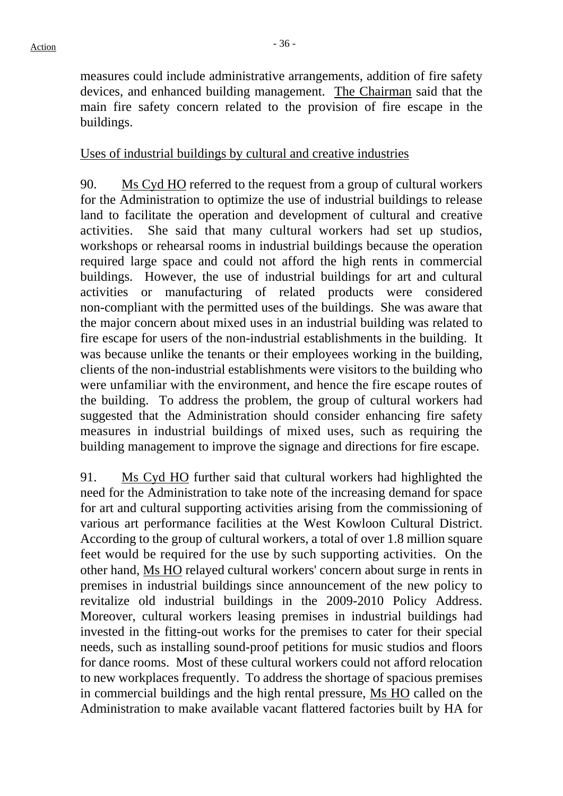measures could include administrative arrangements, addition of fire safety devices, and enhanced building management. The Chairman said that the main fire safety concern related to the provision of fire escape in the buildings.

#### Uses of industrial buildings by cultural and creative industries

90. Ms Cyd HO referred to the request from a group of cultural workers for the Administration to optimize the use of industrial buildings to release land to facilitate the operation and development of cultural and creative activities. She said that many cultural workers had set up studios, workshops or rehearsal rooms in industrial buildings because the operation required large space and could not afford the high rents in commercial buildings. However, the use of industrial buildings for art and cultural activities or manufacturing of related products were considered non-compliant with the permitted uses of the buildings. She was aware that the major concern about mixed uses in an industrial building was related to fire escape for users of the non-industrial establishments in the building. It was because unlike the tenants or their employees working in the building, clients of the non-industrial establishments were visitors to the building who were unfamiliar with the environment, and hence the fire escape routes of the building. To address the problem, the group of cultural workers had suggested that the Administration should consider enhancing fire safety measures in industrial buildings of mixed uses, such as requiring the building management to improve the signage and directions for fire escape.

91. Ms Cyd HO further said that cultural workers had highlighted the need for the Administration to take note of the increasing demand for space for art and cultural supporting activities arising from the commissioning of various art performance facilities at the West Kowloon Cultural District. According to the group of cultural workers, a total of over 1.8 million square feet would be required for the use by such supporting activities. On the other hand, Ms HO relayed cultural workers' concern about surge in rents in premises in industrial buildings since announcement of the new policy to revitalize old industrial buildings in the 2009-2010 Policy Address. Moreover, cultural workers leasing premises in industrial buildings had invested in the fitting-out works for the premises to cater for their special needs, such as installing sound-proof petitions for music studios and floors for dance rooms. Most of these cultural workers could not afford relocation to new workplaces frequently. To address the shortage of spacious premises in commercial buildings and the high rental pressure, Ms HO called on the Administration to make available vacant flattered factories built by HA for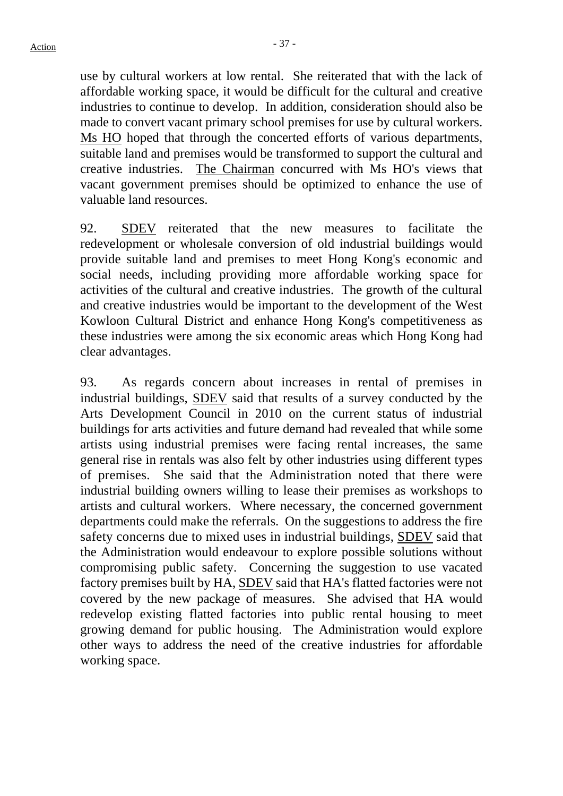use by cultural workers at low rental. She reiterated that with the lack of affordable working space, it would be difficult for the cultural and creative industries to continue to develop. In addition, consideration should also be made to convert vacant primary school premises for use by cultural workers. Ms HO hoped that through the concerted efforts of various departments, suitable land and premises would be transformed to support the cultural and creative industries. The Chairman concurred with Ms HO's views that vacant government premises should be optimized to enhance the use of valuable land resources.

92. SDEV reiterated that the new measures to facilitate the redevelopment or wholesale conversion of old industrial buildings would provide suitable land and premises to meet Hong Kong's economic and social needs, including providing more affordable working space for activities of the cultural and creative industries. The growth of the cultural and creative industries would be important to the development of the West Kowloon Cultural District and enhance Hong Kong's competitiveness as these industries were among the six economic areas which Hong Kong had clear advantages.

93. As regards concern about increases in rental of premises in industrial buildings, SDEV said that results of a survey conducted by the Arts Development Council in 2010 on the current status of industrial buildings for arts activities and future demand had revealed that while some artists using industrial premises were facing rental increases, the same general rise in rentals was also felt by other industries using different types of premises. She said that the Administration noted that there were industrial building owners willing to lease their premises as workshops to artists and cultural workers. Where necessary, the concerned government departments could make the referrals. On the suggestions to address the fire safety concerns due to mixed uses in industrial buildings, SDEV said that the Administration would endeavour to explore possible solutions without compromising public safety. Concerning the suggestion to use vacated factory premises built by HA, SDEV said that HA's flatted factories were not covered by the new package of measures. She advised that HA would redevelop existing flatted factories into public rental housing to meet growing demand for public housing. The Administration would explore other ways to address the need of the creative industries for affordable working space.